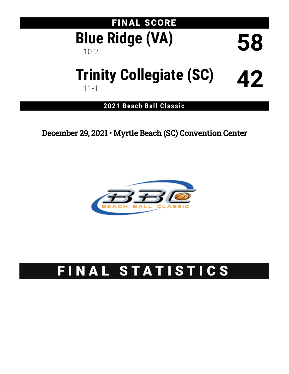

December 29, 2021 • Myrtle Beach (SC) Convention Center



# FINAL STATISTICS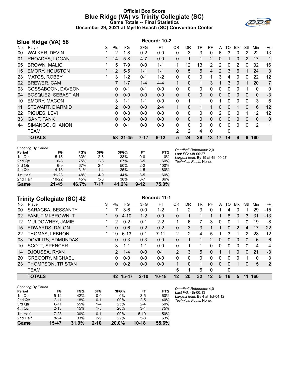### **Official Box Score Blue Ridge (VA) vs Trinity Collegiate (SC) Game Totals -- Final Statistics December 29, 2021 at Myrtle Beach (SC) Convention Center**



|     | <b>Blue Ridge (VA) 58</b> | <b>Record: 10-2</b> |                   |           |          |          |              |              |              |                |              |              |              |                |             |                |
|-----|---------------------------|---------------------|-------------------|-----------|----------|----------|--------------|--------------|--------------|----------------|--------------|--------------|--------------|----------------|-------------|----------------|
| No. | Player                    | S                   | Pts               | FG        | 3FG      | FT       | <b>OR</b>    | <b>DR</b>    | TR           | <b>PF</b>      | A            | TO           | <b>Blk</b>   | Stl            | Min         | $+/-$          |
| 00  | <b>WALKER, DEVIN</b>      | $\ast$              | 2                 | 1-8       | $0 - 2$  | $0 - 0$  | 0            | 3            | 3            | 0              | 6            | 3            | 0            | 2              | 22          | 13             |
| 01  | RHOADES, LOGAN            | $\star$             | 14                | $5 - 8$   | $4 - 7$  | $0 - 0$  | 0            | 1            | 1            | 2              | 0            |              | $\Omega$     | $\overline{2}$ | 17          | 1              |
| 05  | <b>BROWN, MALIQ</b>       | *                   | 15                | $7-9$     | $0 - 0$  | $1 - 1$  | 1            | 12           | 13           | $\overline{2}$ | 2            | 0            | 2            | 0              | 32          | 16             |
| 15  | <b>EMORY, HOUSTON</b>     | $\star$             | $12 \overline{ }$ | $5-5$     | $1 - 1$  | $1 - 1$  | $\mathbf{0}$ | 5            | 5            | 4              | 2            | 3            | 6            |                | 24          | 3              |
| 23  | MATOS, ROBBY              | $\ast$              | 3                 | $1 - 2$   | $0 - 1$  | $1 - 2$  | 0            | 0            | $\mathbf{0}$ |                | 3            | 4            | 0            | 0              | 22          | 12             |
| 02  | <b>BREWER, CAM</b>        |                     | $\overline{7}$    | $1 - 7$   | $1 - 4$  | $4 - 4$  | $\mathbf 1$  | $\Omega$     | 1            | 3              | 1            | 3            | $\mathbf{0}$ | 1              | 20          | $\overline{7}$ |
| 03  | COSSABOON, DAVEON         |                     | 0                 | $0 - 1$   | $0 - 1$  | $0 - 0$  | 0            | 0            | 0            | 0              | 0            | 0            | 0            | 1              | 0           | 0              |
| 04  | BOSQUEZ, SEBASTIAN        |                     | 0                 | $0 - 0$   | $0 - 0$  | $0-0$    | $\mathbf{0}$ | $\mathbf{0}$ | $\mathbf{0}$ | $\Omega$       | $\mathbf{0}$ | $\Omega$     | $\mathbf{0}$ | $\mathbf{0}$   | $\mathbf 0$ | $-3$           |
| 10  | <b>EMORY, MACON</b>       |                     | 3.                | $1 - 1$   | $1 - 1$  | $0 - 0$  | 0            | 1            |              | 0              |              | 0            | 0            | 0              | 3           | 6              |
| 11  | <b>STEWART, DIARMID</b>   |                     | $\overline{2}$    | $0 - 0$   | $0 - 0$  | $2 - 4$  | 1            | $\Omega$     | 1.           | 1              | $\mathbf{0}$ | $\Omega$     |              | $\mathbf{0}$   | 6           | 12             |
| 22  | PIGUES, LEVI              |                     | 0                 | $0 - 3$   | $0 - 0$  | $0-0$    | 0            | 0            | $\mathbf{0}$ | 0              | 2            | 0            | 0            | 1              | 12          | 12             |
| 33  | <b>GANT, TANK</b>         |                     | 0                 | $0 - 0$   | $0 - 0$  | $0 - 0$  | $\Omega$     | $\Omega$     | $\Omega$     | $\Omega$       | 0            | $\Omega$     | 0            | $\Omega$       | $\Omega$    | 0              |
| 44  | SIMANGO, SHANON           |                     | 0                 | $0 - 1$   | $0 - 0$  | $0-0$    | $\Omega$     | $\mathbf{0}$ | $\mathbf{0}$ | $\Omega$       | $\Omega$     | $\mathbf{0}$ | $\Omega$     | 0              | 2           | 1              |
|     | <b>TEAM</b>               |                     |                   |           |          |          | 2            | 2            | 4            | 0              |              | 0            |              |                |             |                |
|     | <b>TOTALS</b>             |                     | 58                | $21 - 45$ | $7 - 17$ | $9 - 12$ | 5            | 24           | 29           | 13             | 17           | 14           | 9            | 8              | 160         |                |

| <b>Shooting By Period</b> |           |       |         |       |          |       |
|---------------------------|-----------|-------|---------|-------|----------|-------|
| Period                    | FG        | FG%   | 3FG     | 3FG%  | FT       | FT%   |
| 1st Otr                   | $5 - 15$  | 33%   | $2-6$   | 33%   | $0 - 0$  | $0\%$ |
| 2nd Qtr                   | $6 - 8$   | 75%   | $2 - 3$ | 67%   | $3-5$    | 60%   |
| 3rd Qtr                   | $6-9$     | 67%   | $2 - 4$ | 50%   | $2 - 2$  | 100%  |
| 4th Qtr                   | $4 - 13$  | 31%   | $1 - 4$ | 25%   | $4 - 5$  | 80%   |
| 1st Half                  | $11 - 23$ | 48%   | $4 - 9$ | 44%   | $3-5$    | 60%   |
| 2nd Half                  | $10 - 22$ | 45%   | $3 - 8$ | 38%   | $6 - 7$  | 86%   |
| Game                      | $21 - 45$ | 46.7% | 7-17    | 41.2% | $9 - 12$ | 75.0% |

*Deadball Rebounds:* 2,0 *Last FG:* 4th-00:27 *Largest lead:* By 19 at 4th-00:27 *Technical Fouls:* None.

# **Trinity Collegiate (SC) 42 Record: 11-1**

|     | $1.11117$ concerned $(0.0711)$ |          |               |          |          |           |                |          |          |               |              |     |               |          |     |       |
|-----|--------------------------------|----------|---------------|----------|----------|-----------|----------------|----------|----------|---------------|--------------|-----|---------------|----------|-----|-------|
| No. | Plaver                         | S        | Pts           | FG.      | 3FG      | FТ        | OR             | DR.      | TR       | PF            | A            | TO. | <b>B</b> lk   | Stl      | Min | $+/-$ |
| 00  | SARAGBA, BESSANTY              | $\ast$   |               | $3-6$    | $0 - 0$  | 1-2       |                | 2        | 3        | 0             |              | 4   | 0             |          | 29  | $-15$ |
| 02  | FAMUTIMI-BROWN, T              | $\star$  | 9             | $4 - 10$ | $1 - 2$  | $0 - 0$   | 0              |          |          |               | 1            | 8   | $\mathbf{0}$  | 3        | 31  | $-13$ |
| 12  | MULDOWNEY, JAMIE               | $^\star$ | 2             | $0 - 2$  | $0 - 1$  | $2 - 2$   | 1.             | 6        |          | 3             | $\mathbf{0}$ | 0   |               | 0        | 19  | -8    |
| 15  | <b>EDWARDS, DALON</b>          | $\star$  | 0             | $0 - 6$  | $0 - 2$  | $0 - 2$   | 0              | 3        | 3        |               |              | 0   | $\mathcal{P}$ | 4        | 17  | $-22$ |
| 22  | THOMAS, LEBRON                 | $\star$  | 19            | $6 - 13$ | $0 - 1$  | $7 - 11$  | 2              | 2        | 4        | 5.            |              | 3   |               | 2        | 28  | $-12$ |
| 03  | <b>DOVILITS, EDMUNDAS</b>      |          | 0             | $0 - 3$  | $0 - 3$  | $0 - 0$   | 0              |          |          | $\mathcal{P}$ | $\mathbf{0}$ | 0   | 0             | 0        | 6   | -6    |
| 10  | <b>SCOTT, SPENCER</b>          |          | 3             | $1 - 1$  | $1 - 1$  | $0 - 0$   | 0              |          |          | 0             | 0            | 0   | 0             | 0        | 4   | -4    |
| 14  | DJOUSSA, RYAN                  |          | $\mathcal{P}$ | $1 - 4$  | $0 - 0$  | $0 - 1$   | $\overline{2}$ | 3        | 5        | 0             | 1            |     | $\Omega$      | $\Omega$ | 21  | $-3$  |
| 20  | <b>GREGORY, MICHAEL</b>        |          | 0             | $0 - 0$  | $0 - 0$  | $0 - 0$   | 0              | $\Omega$ | $\Omega$ | 0             | $\Omega$     | 0   | 0             |          | 0   | 3     |
| 23  | THOMPSON, TRISTAN              |          | 0             | $0 - 2$  | $0 - 0$  | $0 - 0$   | 1.             | $\Omega$ | 1        | 0             | $\Omega$     | 0   |               | $\Omega$ | 5   | 2     |
|     | <b>TEAM</b>                    |          |               |          |          |           | 5              |          | 6        | $\Omega$      |              | 0   |               |          |     |       |
|     | <b>TOTALS</b>                  |          | 42            | 15-47    | $2 - 10$ | $10 - 18$ | $12 \,$        | 20       | 32       | 12            | 5            | 16  | 5             | 11       | 160 |       |

| <b>Shooting By Period</b> |          |       |          |        |           |       |
|---------------------------|----------|-------|----------|--------|-----------|-------|
| Period                    | FG       | FG%   | 3FG      | 3FG%   | FT        | FT%   |
| 1st Qtr                   | $5 - 12$ | 42%   | $0-0$    | 0%     | $3-5$     | 60%   |
| 2nd Qtr                   | $2 - 11$ | 18%   | $0 - 1$  | $00\%$ | $2 - 5$   | 40%   |
| 3rd Qtr                   | $6 - 11$ | 55%   | $1 - 4$  | 25%    | $2 - 4$   | 50%   |
| 4th Qtr                   | $2 - 13$ | 15%   | $1-5$    | 20%    | $3 - 4$   | 75%   |
| 1st Half                  | $7-23$   | 30%   | $0 - 1$  | $00\%$ | $5 - 10$  | 50%   |
| 2nd Half                  | $8 - 24$ | 33%   | $2-9$    | 22%    | $5 - 8$   | 63%   |
| Game                      | 15-47    | 31.9% | $2 - 10$ | 20.0%  | $10 - 18$ | 55.6% |

*Deadball Rebounds:* 4,0 *Last FG:* 4th-00:13 *Largest lead:* By 4 at 1st-04:12 *Technical Fouls:* None.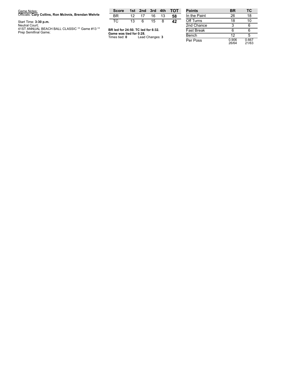| Game Notes:                                                                             | <b>Score</b>                                                  |                 | 1st 2nd 3rd 4th |    |    | <b>TOT</b> | Poir        |
|-----------------------------------------------------------------------------------------|---------------------------------------------------------------|-----------------|-----------------|----|----|------------|-------------|
| Officials: Cary Collins, Ron McInnis, Brendan Wehrle                                    | ВR                                                            | 12.             | 17              | 16 | 13 | 58         | In th       |
| Start Time: 3:30 p.m.                                                                   | TC.                                                           | 13 <sup>1</sup> | 6               | 15 | 8  | 42         | $Off-$      |
| Neutral Court:<br>41ST ANNUAL BEACH BALL CLASSIC ** Game #13 **<br>Prep Semifinal Game; | BR led for 24:50. TC led for 6:32.<br>Game was tied for 0:28. |                 |                 |    |    |            | 2nd<br>Fast |
|                                                                                         | Times tied: <b>0</b>                                          |                 | Lead Changes: 3 |    |    |            | Ben         |

| <b>Points</b>     | ΒR             | ТC             |
|-------------------|----------------|----------------|
| In the Paint      | 26             | 18             |
| Off Turns         | 18             | 10             |
| 2nd Chance        | 3              | 6              |
| <b>Fast Break</b> | 6              | հ              |
| Bench             | 12             | 5              |
| Per Poss          | 0.906<br>26/64 | 0.667<br>21/63 |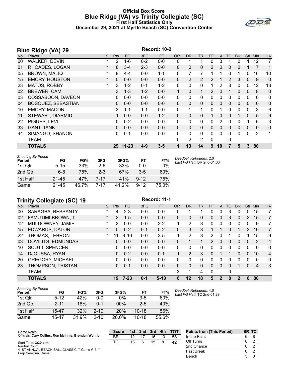#### **Official Box Score Blue Ridge (VA) vs Trinity Collegiate (SC) First Half Statistics Only December 29, 2021 at Myrtle Beach (SC) Convention Center**



|     | <b>Record: 10-2</b><br><b>Blue Ridge (VA) 29</b> |          |            |           |         |           |              |                |                |               |              |              |            |              |                |                |
|-----|--------------------------------------------------|----------|------------|-----------|---------|-----------|--------------|----------------|----------------|---------------|--------------|--------------|------------|--------------|----------------|----------------|
| No. | Player                                           | S        | <b>Pts</b> | <b>FG</b> | 3FG     | <b>FT</b> | <b>OR</b>    | <b>DR</b>      | <b>TR</b>      | PF            | A            | <b>TO</b>    | <b>Blk</b> | Stl          | Min            | $+/-$          |
| 00  | <b>WALKER, DEVIN</b>                             | $^\star$ | 2          | 1-6       | $0 - 2$ | $0-0$     | 0            |                |                | 0             | 3            |              | 0          |              | 12             | 7              |
| 01  | RHOADES, LOGAN                                   | $^\star$ | 8          | $3 - 4$   | $2 - 3$ | $0-0$     | $\Omega$     | 0              | 0              | 2             | 0            | 0            | 0          |              | $\overline{7}$ | 1              |
| 05  | <b>BROWN, MALIQ</b>                              | *        | 9          | $4 - 4$   | $0 - 0$ | $1 - 1$   | 0            | 7              | 7              |               |              | 0            |            | 0            | 16             | 10             |
| 15  | <b>EMORY, HOUSTON</b>                            | $\ast$   | 0          | $0 - 0$   | $0 - 0$ | $0 - 0$   | $\mathbf{0}$ | 2              | 2              | 2             |              | 2            | 3          | $\mathbf{0}$ | -9             | $\overline{0}$ |
| 23  | MATOS, ROBBY                                     | $^\star$ | 3          | $1 - 2$   | $0 - 1$ | $1 - 2$   | $\mathbf{0}$ | 0              | $\mathbf{0}$   | 1             | 2            | 3            | 0          | 0            | 12             | 13             |
| 02  | <b>BREWER, CAM</b>                               |          | 3          | $1 - 3$   | $1 - 2$ | $0 - 0$   | 1            | 0              | 1              | $\mathcal{P}$ | $\Omega$     |              | $\Omega$   | $\mathbf{0}$ | 8              | $\mathbf 0$    |
| 03  | COSSABOON, DAVEON                                |          | 0          | $0 - 0$   | $0 - 0$ | $0-0$     | 0            | 0              | $\mathbf{0}$   | 0             | 0            | $\Omega$     | 0          | 0            | 0              | 0              |
| 04  | <b>BOSQUEZ, SEBASTIAN</b>                        |          | 0          | $0 - 0$   | $0 - 0$ | $0 - 0$   | $\Omega$     | $\Omega$       | $\Omega$       | 0             | $\mathbf{0}$ | $\Omega$     | $\Omega$   | $\mathbf{0}$ | $\mathbf{0}$   | $\mathbf 0$    |
| 10  | <b>EMORY, MACON</b>                              |          | 3          | $1 - 1$   | $1 - 1$ | $0-0$     | 0            |                | 1              | 0             |              | $\Omega$     | 0          | 0            | 3              | 6              |
| 11  | STEWART, DIARMID                                 |          |            | $0 - 0$   | $0 - 0$ | $1 - 2$   | $\Omega$     | 0              | $\Omega$       |               | 0            | $\mathbf{0}$ |            | $\mathbf{0}$ | 5              | $9\,$          |
| 22  | PIGUES, LEVI                                     |          | 0          | $0 - 2$   | $0 - 0$ | $0 - 0$   | $\Omega$     | $\Omega$       | $\Omega$       | 0             | 2            | $\Omega$     | 0          |              | 6              | 3              |
| 33  | <b>GANT, TANK</b>                                |          | 0          | $0 - 0$   | $0 - 0$ | $0 - 0$   | $\Omega$     | 0              | $\Omega$       | 0             | $\Omega$     | $\Omega$     | $\Omega$   | $\Omega$     | $\mathbf{0}$   | $\mathbf 0$    |
| 44  | SIMANGO, SHANON                                  |          | 0          | $0 - 1$   | $0 - 0$ | $0 - 0$   | 0            | $\Omega$       | $\mathbf{0}$   | 0             | $\Omega$     | $\Omega$     | 0          | $\Omega$     | 2              | 1              |
|     | <b>TEAM</b>                                      |          |            |           |         |           | 0            | $\overline{2}$ | $\overline{2}$ | 0             |              | 0            |            |              |                |                |
|     | <b>TOTALS</b>                                    |          | 29         | $11 - 23$ | $4 - 9$ | $3 - 5$   |              | 13             | 14             | 9             | 10           |              | 5          | 3            | 80             |                |

| <b>Shooting By Period</b><br>Period | FG        | FG%   | 3FG     | 3FG%  | FT       | FT%   | Deadball Rebounds: 2,0<br>Last FG Half: BR 2nd-01:03 |
|-------------------------------------|-----------|-------|---------|-------|----------|-------|------------------------------------------------------|
| 1st Qtr                             | $5 - 15$  | 33%   | $2-6$   | 33%   | $0 - 0$  | 0%    |                                                      |
| 2nd Qtr                             | $6 - 8$   | 75%   | $2 - 3$ | 67%   | $3-5$    | 60%   |                                                      |
| 1st Half                            | $21 - 45$ | 47%   | 7-17    | 41%   | $9 - 12$ | 75%   |                                                      |
| Game                                | 21-45     | 46.7% | 7-17    | 41.2% | $9 - 12$ | 75.0% |                                                      |

# **Trinity Collegiate (SC) 19 Record: 11-1**

|     | 111111                  |          |                |          |         |           |              |              |           |               |              |          |            |          |     |              |
|-----|-------------------------|----------|----------------|----------|---------|-----------|--------------|--------------|-----------|---------------|--------------|----------|------------|----------|-----|--------------|
| No. | Player                  | S        | <b>Pts</b>     | FG.      | 3FG     | <b>FT</b> | <b>OR</b>    | <b>DR</b>    | <b>TR</b> | PF            | $\mathsf{A}$ | TO       | <b>Blk</b> | Stl      | Min | $+/-$        |
| 00  | SARAGBA, BESSANTY       | $\star$  | 4              | $2 - 3$  | $0-0$   | $0-0$     | 0            |              |           | 0             | 0            | 3        | 0          | 0        | 15  | $-7$         |
| 02  | FAMUTIMI-BROWN, T       | $\star$  | $\overline{2}$ | $1 - 5$  | $0 - 0$ | $0 - 0$   | $\Omega$     | 0            | 0         | 0             | $\Omega$     | 3        | 0          | 2        | 15  | $-7$         |
| 12  | MULDOWNEY, JAMIE        | $^\star$ | 2              | $0 - 0$  | $0 - 0$ | $2 - 2$   | 1            | 2            | 3         | 0             | 0            | $\Omega$ | 0          | 0        | 9   | $-7$         |
| 15  | EDWARDS, DALON          | $\star$  | 0              | $0 - 2$  | $0 - 1$ | $0 - 2$   | $\Omega$     | 3            | 3         |               |              | $\Omega$ | 1          | 3        | 10  | $-7$         |
| 22  | THOMAS, LEBRON          | $\star$  | 11             | $4 - 10$ | $0 - 0$ | $3 - 5$   |              | 2            | 3         | $\mathcal{P}$ | $\Omega$     |          | 0          |          | 15  | -9           |
| 03  | DOVILITS, EDMUNDAS      |          | 0              | $0 - 0$  | $0 - 0$ | $0 - 0$   | $\Omega$     |              |           | 2             | $\Omega$     | $\Omega$ | 0          | $\Omega$ | 2   | $-4$         |
| 10  | <b>SCOTT, SPENCER</b>   |          | 0              | $0 - 0$  | $0 - 0$ | $0 - 0$   | $\mathbf{0}$ | $\Omega$     | 0         | 0             | 0            | 0        | 0          | $\Omega$ | 0   | $\mathbf{0}$ |
| 14  | DJOUSSA, RYAN           |          | 0              | $0 - 2$  | $0 - 0$ | $0 - 1$   | 1            | 2            | 3         | $\Omega$      |              |          | 0          | $\Omega$ | 10  | $-4$         |
| 20  | <b>GREGORY, MICHAEL</b> |          | 0              | $0 - 0$  | $0 - 0$ | $0 - 0$   | $\Omega$     | 0            | 0         | 0             | 0            | 0        | 0          | 0        | 0   | 0            |
| 23  | THOMPSON, TRISTAN       |          | 0              | $0 - 1$  | $0-0$   | $0 - 0$   | $\mathbf{0}$ | $\mathbf{0}$ | 0         | $\Omega$      | $\Omega$     | 0        | 1          | $\Omega$ | 4   | $-3$         |
|     | <b>TEAM</b>             |          |                |          |         |           | 3            | 1            | 4         | $\mathbf{0}$  |              | 0        |            |          |     |              |
|     | <b>TOTALS</b>           |          | 19             | $7 - 23$ | $0 - 1$ | $5 - 10$  | 6            | $12 \,$      | 18        | 5             | $\mathbf{2}$ | 8        | 2          | 6        | 80  |              |

| <b>Shooting By Period</b> |          |       |          |          |           |       |
|---------------------------|----------|-------|----------|----------|-----------|-------|
| Period                    | FG       | FG%   | 3FG      | 3FG%     | FT        | FT%   |
| 1st Otr                   | $5 - 12$ | 42%   | 0-0      | $0\%$    | $3-5$     | 60%   |
| 2nd Qtr                   | $2 - 11$ | 18%   | N-1      | $00\%$   | $2-5$     | 40%   |
| 1st Half                  | 15-47    | 32%   | $2 - 10$ | 20%      | $10 - 18$ | 56%   |
| Game                      | 15-47    | 31.9% | $2 - 10$ | $20.0\%$ | $10 - 18$ | 55.6% |

*Deadball Rebounds:* 4,0 *Last FG Half:* TC 2nd-01:29

Bench 3 0

| Game Notes:                                                           | <b>Score</b> | 1st | 2nd | 3rd | 4th | тот | <b>Points from (This Period)</b> | BR TC |  |
|-----------------------------------------------------------------------|--------------|-----|-----|-----|-----|-----|----------------------------------|-------|--|
| Officials: Cary Collins, Ron McInnis, Brendan Wehrle                  | ΒR           |     |     | 16  |     | 58  | In the Paint                     |       |  |
| Start Time: 3:30 p.m.                                                 | ТC           |     |     | 15  |     | 42  | Off Turns                        |       |  |
| Neutral Court:                                                        |              |     |     |     |     |     | 2nd Chance                       |       |  |
| 41ST ANNUAL BEACH BALL CLASSIC ** Game #13 **<br>Dron Comifinal Camo: |              |     |     |     |     |     | Fast Break                       |       |  |

41ST ANNUAL BEACH BALL CLASSIC \*\* Game #13 \*\* Prep Semifinal Game;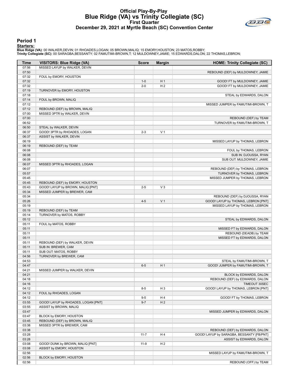# **Official Play-By-Play Blue Ridge (VA) vs Trinity Collegiate (SC) First Quarter December 29, 2021 at Myrtle Beach (SC) Convention Center**



#### **Period 1**

#### **Starters:**

| Time           | <b>VISITORS: Blue Ridge (VA)</b>    | <b>Score</b> | <b>Margin</b>  | <b>HOME: Trinity Collegiate (SC)</b>      |
|----------------|-------------------------------------|--------------|----------------|-------------------------------------------|
| 07:56          | MISSED LAYUP by WALKER, DEVIN       |              |                |                                           |
| 07:50          |                                     |              |                | REBOUND (DEF) by MULDOWNEY, JAMIE         |
| 07:32          | FOUL by EMORY, HOUSTON              |              |                |                                           |
| 07:32          |                                     | $1 - 0$      | H <sub>1</sub> | GOOD! FT by MULDOWNEY, JAMIE              |
| 07:32          |                                     | $2 - 0$      | H <sub>2</sub> | GOOD! FT by MULDOWNEY, JAMIE              |
| 07:19          | TURNOVER by EMORY, HOUSTON          |              |                |                                           |
| 07:18<br>07:14 | FOUL by BROWN, MALIQ                |              |                | STEAL by EDWARDS, DALON                   |
| 07:12          |                                     |              |                | MISSED JUMPER by FAMUTIMI-BROWN, T        |
| 07:12          | REBOUND (DEF) by BROWN, MALIQ       |              |                |                                           |
| 07:00          | MISSED 3PTR by WALKER, DEVIN        |              |                |                                           |
| 07:00          |                                     |              |                | REBOUND (DEF) by TEAM                     |
| 06:52          |                                     |              |                | TURNOVER by FAMUTIMI-BROWN, T             |
| 06:50          | STEAL by WALKER, DEVIN              |              |                |                                           |
| 06:37          | GOOD! 3PTR by RHOADES, LOGAN        | $2 - 3$      | V <sub>1</sub> |                                           |
| 06:37          | ASSIST by WALKER, DEVIN             |              |                |                                           |
| 06:19          |                                     |              |                | MISSED LAYUP by THOMAS, LEBRON            |
| 06:19          | REBOUND (DEF) by TEAM               |              |                |                                           |
| 06:08          |                                     |              |                | FOUL by THOMAS, LEBRON                    |
| 06:08          |                                     |              |                | SUB IN: DJOUSSA, RYAN                     |
| 06:08<br>06:07 | MISSED 3PTR by RHOADES, LOGAN       |              |                | SUB OUT: MULDOWNEY, JAMIE                 |
| 06:07          |                                     |              |                | REBOUND (DEF) by THOMAS, LEBRON           |
| 05:57          |                                     |              |                | TURNOVER by THOMAS, LEBRON                |
| 05:45          |                                     |              |                | MISSED JUMPER by THOMAS, LEBRON           |
| 05:45          | REBOUND (DEF) by EMORY, HOUSTON     |              |                |                                           |
| 05:43          | GOOD! LAYUP by BROWN, MALIQ [PNT]   | $2 - 5$      | $V_3$          |                                           |
| 05:34          | MISSED JUMPER by BREWER, CAM        |              |                |                                           |
| 05:34          |                                     |              |                | REBOUND (DEF) by DJOUSSA, RYAN            |
| 05:26          |                                     | $4 - 5$      | V <sub>1</sub> | GOOD! LAYUP by THOMAS, LEBRON [PNT]       |
| 05:19          |                                     |              |                | MISSED LAYUP by THOMAS, LEBRON            |
| 05:19          | REBOUND (DEF) by TEAM               |              |                |                                           |
| 05:14          | TURNOVER by MATOS, ROBBY            |              |                |                                           |
| 05:12          |                                     |              |                | STEAL by EDWARDS, DALON                   |
| 05:11<br>05:11 | FOUL by MATOS, ROBBY                |              |                | MISSED FT by EDWARDS, DALON               |
| 05:11          |                                     |              |                | REBOUND (DEADB) by TEAM                   |
| 05:11          |                                     |              |                | MISSED FT by EDWARDS, DALON               |
| 05:11          | REBOUND (DEF) by WALKER, DEVIN      |              |                |                                           |
| 05:11          | SUB IN: BREWER, CAM                 |              |                |                                           |
| 05:11          | SUB OUT: MATOS, ROBBY               |              |                |                                           |
| 04:56          | TURNOVER by BREWER, CAM             |              |                |                                           |
| 04:53          |                                     |              |                | STEAL by FAMUTIMI-BROWN, T                |
| 04:47          |                                     | $6-5$        | H <sub>1</sub> | GOOD! JUMPER by FAMUTIMI-BROWN, T         |
| 04:21          | MISSED JUMPER by WALKER, DEVIN      |              |                |                                           |
| 04:21          |                                     |              |                | BLOCK by EDWARDS, DALON                   |
| 04:18          |                                     |              |                | REBOUND (DEF) by EDWARDS, DALON           |
| 04:16          |                                     |              |                | TIMEOUT 30SEC                             |
| 04:12<br>04:12 | FOUL by RHOADES, LOGAN              | $8 - 5$      | H <sub>3</sub> | GOOD! LAYUP by THOMAS, LEBRON [PNT]       |
| 04:12          |                                     | $9 - 5$      | H4             | GOOD! FT by THOMAS, LEBRON                |
| 03:55          | GOOD! LAYUP by RHOADES, LOGAN [PNT] | $9 - 7$      | H <sub>2</sub> |                                           |
| 03:55          | ASSIST by BROWN, MALIQ              |              |                |                                           |
| 03:47          |                                     |              |                | MISSED JUMPER by EDWARDS, DALON           |
| 03:47          | BLOCK by EMORY, HOUSTON             |              |                |                                           |
| 03:45          | REBOUND (DEF) by BROWN, MALIQ       |              |                |                                           |
| 03:38          | MISSED 3PTR by BREWER, CAM          |              |                |                                           |
| 03:38          |                                     |              |                | REBOUND (DEF) by EDWARDS, DALON           |
| 03:28          |                                     | $11 - 7$     | H4             | GOOD! LAYUP by SARAGBA, BESSANTY [FB/PNT] |
| 03:28          |                                     |              |                | ASSIST by EDWARDS, DALON                  |
| 03:08          | GOOD! DUNK by BROWN, MALIQ [PNT]    | $11-9$       | H <sub>2</sub> |                                           |
| 03:08          | ASSIST by EMORY, HOUSTON            |              |                |                                           |
| 02:56          |                                     |              |                | MISSED LAYUP by FAMUTIMI-BROWN, T         |
| 02:56<br>02:56 | BLOCK by EMORY, HOUSTON             |              |                | REBOUND (OFF) by TEAM                     |
|                |                                     |              |                |                                           |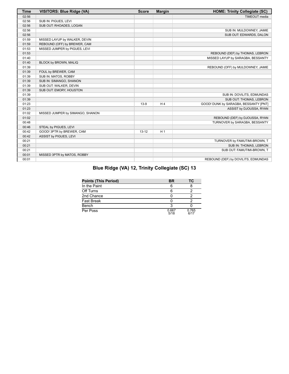| <b>Time</b> | <b>VISITORS: Blue Ridge (VA)</b> | <b>Score</b> | <b>Margin</b>  | <b>HOME: Trinity Collegiate (SC)</b>  |
|-------------|----------------------------------|--------------|----------------|---------------------------------------|
| 02:56       |                                  |              |                | <b>TIMEOUT</b> media                  |
| 02:56       | SUB IN: PIGUES, LEVI             |              |                |                                       |
| 02:56       | SUB OUT: RHOADES, LOGAN          |              |                |                                       |
| 02:56       |                                  |              |                | SUB IN: MULDOWNEY, JAMIE              |
| 02:56       |                                  |              |                | SUB OUT: EDWARDS, DALON               |
| 01:59       | MISSED LAYUP by WALKER, DEVIN    |              |                |                                       |
| 01:59       | REBOUND (OFF) by BREWER, CAM     |              |                |                                       |
| 01:53       | MISSED JUMPER by PIGUES, LEVI    |              |                |                                       |
| 01:53       |                                  |              |                | REBOUND (DEF) by THOMAS, LEBRON       |
| 01:40       |                                  |              |                | MISSED LAYUP by SARAGBA, BESSANTY     |
| 01:40       | BLOCK by BROWN, MALIQ            |              |                |                                       |
| 01:39       |                                  |              |                | REBOUND (OFF) by MULDOWNEY, JAMIE     |
| 01:39       | FOUL by BREWER, CAM              |              |                |                                       |
| 01:39       | SUB IN: MATOS, ROBBY             |              |                |                                       |
| 01:39       | SUB IN: SIMANGO, SHANON          |              |                |                                       |
| 01:39       | SUB OUT: WALKER, DEVIN           |              |                |                                       |
| 01:39       | SUB OUT: EMORY, HOUSTON          |              |                |                                       |
| 01:39       |                                  |              |                | SUB IN: DOVILITS, EDMUNDAS            |
| 01:39       |                                  |              |                | SUB OUT: THOMAS, LEBRON               |
| 01:23       |                                  | $13-9$       | H <sub>4</sub> | GOOD! DUNK by SARAGBA, BESSANTY [PNT] |
| 01:23       |                                  |              |                | ASSIST by DJOUSSA, RYAN               |
| 01:02       | MISSED JUMPER by SIMANGO, SHANON |              |                |                                       |
| 01:02       |                                  |              |                | REBOUND (DEF) by DJOUSSA, RYAN        |
| 00:48       |                                  |              |                | TURNOVER by SARAGBA, BESSANTY         |
| 00:46       | STEAL by PIGUES, LEVI            |              |                |                                       |
| 00:42       | GOOD! 3PTR by BREWER, CAM        | $13 - 12$    | H <sub>1</sub> |                                       |
| 00:42       | ASSIST by PIGUES, LEVI           |              |                |                                       |
| 00:21       |                                  |              |                | TURNOVER by FAMUTIMI-BROWN, T         |
| 00:21       |                                  |              |                | SUB IN: THOMAS, LEBRON                |
| 00:21       |                                  |              |                | SUB OUT: FAMUTIMI-BROWN, T            |
| 00:01       | MISSED 3PTR by MATOS, ROBBY      |              |                |                                       |
| 00:01       |                                  |              |                | REBOUND (DEF) by DOVILITS, EDMUNDAS   |

| Blue Ridge (VA) 12, Trinity Collegiate (SC) 13 |
|------------------------------------------------|
|------------------------------------------------|

| <b>Points (This Period)</b> | BR            | ТC            |
|-----------------------------|---------------|---------------|
| In the Paint                | 6             |               |
| Off Turns                   |               |               |
| 2nd Chance                  |               |               |
| <b>Fast Break</b>           |               |               |
| Bench                       |               |               |
| Per Poss                    | 0.667<br>5/18 | 0.765<br>6/17 |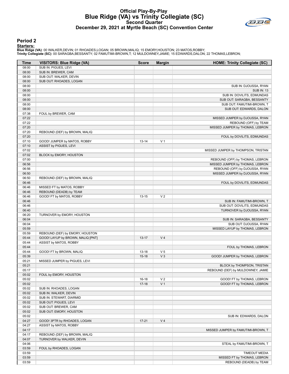# **Official Play-By-Play Blue Ridge (VA) vs Trinity Collegiate (SC) Second Quarter December 29, 2021 at Myrtle Beach (SC) Convention Center**



#### **Period 2**

#### **Starters:**

| SUB IN: PIGUES, LEVI<br>08:00<br>08:00<br>SUB IN: BREWER, CAM<br>08:00<br>SUB OUT: WALKER, DEVIN<br>08:00<br>SUB OUT: RHOADES, LOGAN<br>08:00<br>SUB IN: DJOUSSA, RYAN<br>08:00<br><b>SUB IN: 13</b><br>08:00<br>SUB IN: DOVILITS, EDMUNDAS<br>08:00<br>SUB OUT: SARAGBA, BESSANTY<br>08:00<br>SUB OUT: FAMUTIMI-BROWN, T<br>08:00<br>SUB OUT: EDWARDS, DALON<br>07:38<br>FOUL by BREWER, CAM<br>07:22<br>MISSED JUMPER by DJOUSSA, RYAN<br>07:22<br>REBOUND (OFF) by TEAM<br>07:20<br>MISSED JUMPER by THOMAS, LEBRON<br>07:20<br>REBOUND (DEF) by BROWN, MALIQ<br>07:20<br>FOUL by DOVILITS, EDMUNDAS<br>07:10<br>V <sub>1</sub><br>GOOD! JUMPER by MATOS, ROBBY<br>$13 - 14$<br>07:10<br>ASSIST by PIGUES, LEVI<br>07:02<br>MISSED JUMPER by THOMPSON, TRISTAN<br>07:02<br>BLOCK by EMORY, HOUSTON<br>07:00<br>REBOUND (OFF) by THOMAS, LEBRON<br>06:56<br>MISSED JUMPER by THOMAS, LEBRON<br>REBOUND (OFF) by DJOUSSA, RYAN<br>06:56<br>06:50<br>MISSED JUMPER by DJOUSSA, RYAN<br>06:50<br>REBOUND (DEF) by BROWN, MALIQ<br>06:46<br>FOUL by DOVILITS, EDMUNDAS<br>06:46<br>MISSED FT by MATOS, ROBBY<br>06:46<br>REBOUND (DEADB) by TEAM<br>06:46<br>V <sub>2</sub><br>GOOD! FT by MATOS, ROBBY<br>$13 - 15$<br>06:46<br>SUB IN: FAMUTIMI-BROWN, T<br>06:46<br>SUB OUT: DOVILITS, EDMUNDAS<br>06:40<br>TURNOVER by DJOUSSA, RYAN<br>06:20<br>TURNOVER by EMORY, HOUSTON<br>06:04<br>SUB IN: SARAGBA, BESSANTY<br>06:04<br>SUB OUT: DJOUSSA, RYAN<br>05:59<br>MISSED LAYUP by THOMAS, LEBRON<br>05:59<br>REBOUND (DEF) by EMORY, HOUSTON<br>05:44<br>V <sub>4</sub><br>GOOD! LAYUP by BROWN, MALIQ [PNT]<br>13-17<br>05:44<br>ASSIST by MATOS, ROBBY<br>05:44<br>FOUL by THOMAS, LEBRON<br>05:44<br>V <sub>5</sub><br>GOOD! FT by BROWN, MALIQ<br>$13 - 18$<br>$V_3$<br>05:39<br>$15-18$<br>GOOD! JUMPER by THOMAS, LEBRON<br>05:21<br>MISSED JUMPER by PIGUES, LEVI<br>05:21<br>BLOCK by THOMPSON, TRISTAN<br>05:17<br>REBOUND (DEF) by MULDOWNEY, JAMIE<br>05:02<br>FOUL by EMORY, HOUSTON<br>05:02<br>V <sub>2</sub><br>$16 - 18$<br>GOOD! FT by THOMAS, LEBRON<br>V <sub>1</sub><br>05:02<br>$17-18$<br>GOOD! FT by THOMAS, LEBRON<br>05:02<br>SUB IN: RHOADES, LOGAN<br>05:02<br>SUB IN: WALKER, DEVIN<br>05:02<br>SUB IN: STEWART, DIARMID<br>05:02<br>SUB OUT: PIGUES, LEVI<br>05:02<br>SUB OUT: BREWER, CAM<br>05:02<br>SUB OUT: EMORY, HOUSTON<br>05:02<br>SUB IN: EDWARDS, DALON<br>04:27<br>GOOD! 3PTR by RHOADES, LOGAN<br>V <sub>4</sub><br>$17 - 21$<br>04:27<br>ASSIST by MATOS, ROBBY<br>04:17<br>MISSED JUMPER by FAMUTIMI-BROWN, T<br>04:17<br>REBOUND (DEF) by BROWN, MALIQ<br>04:07<br>TURNOVER by WALKER, DEVIN<br>04:06<br>STEAL by FAMUTIMI-BROWN, T<br>03:59<br>FOUL by RHOADES, LOGAN<br>03:59<br><b>TIMEOUT MEDIA</b><br>03:59<br>MISSED FT by THOMAS, LEBRON | <b>Time</b> | <b>VISITORS: Blue Ridge (VA)</b> | <b>Score</b> | <b>Margin</b> | <b>HOME: Trinity Collegiate (SC)</b> |
|----------------------------------------------------------------------------------------------------------------------------------------------------------------------------------------------------------------------------------------------------------------------------------------------------------------------------------------------------------------------------------------------------------------------------------------------------------------------------------------------------------------------------------------------------------------------------------------------------------------------------------------------------------------------------------------------------------------------------------------------------------------------------------------------------------------------------------------------------------------------------------------------------------------------------------------------------------------------------------------------------------------------------------------------------------------------------------------------------------------------------------------------------------------------------------------------------------------------------------------------------------------------------------------------------------------------------------------------------------------------------------------------------------------------------------------------------------------------------------------------------------------------------------------------------------------------------------------------------------------------------------------------------------------------------------------------------------------------------------------------------------------------------------------------------------------------------------------------------------------------------------------------------------------------------------------------------------------------------------------------------------------------------------------------------------------------------------------------------------------------------------------------------------------------------------------------------------------------------------------------------------------------------------------------------------------------------------------------------------------------------------------------------------------------------------------------------------------------------------------------------------------------------------------------------------------------------------------------------------------------------------------------------------------------------------------------------------------------------------------------------------------------------------------------|-------------|----------------------------------|--------------|---------------|--------------------------------------|
|                                                                                                                                                                                                                                                                                                                                                                                                                                                                                                                                                                                                                                                                                                                                                                                                                                                                                                                                                                                                                                                                                                                                                                                                                                                                                                                                                                                                                                                                                                                                                                                                                                                                                                                                                                                                                                                                                                                                                                                                                                                                                                                                                                                                                                                                                                                                                                                                                                                                                                                                                                                                                                                                                                                                                                                              |             |                                  |              |               |                                      |
|                                                                                                                                                                                                                                                                                                                                                                                                                                                                                                                                                                                                                                                                                                                                                                                                                                                                                                                                                                                                                                                                                                                                                                                                                                                                                                                                                                                                                                                                                                                                                                                                                                                                                                                                                                                                                                                                                                                                                                                                                                                                                                                                                                                                                                                                                                                                                                                                                                                                                                                                                                                                                                                                                                                                                                                              |             |                                  |              |               |                                      |
|                                                                                                                                                                                                                                                                                                                                                                                                                                                                                                                                                                                                                                                                                                                                                                                                                                                                                                                                                                                                                                                                                                                                                                                                                                                                                                                                                                                                                                                                                                                                                                                                                                                                                                                                                                                                                                                                                                                                                                                                                                                                                                                                                                                                                                                                                                                                                                                                                                                                                                                                                                                                                                                                                                                                                                                              |             |                                  |              |               |                                      |
|                                                                                                                                                                                                                                                                                                                                                                                                                                                                                                                                                                                                                                                                                                                                                                                                                                                                                                                                                                                                                                                                                                                                                                                                                                                                                                                                                                                                                                                                                                                                                                                                                                                                                                                                                                                                                                                                                                                                                                                                                                                                                                                                                                                                                                                                                                                                                                                                                                                                                                                                                                                                                                                                                                                                                                                              |             |                                  |              |               |                                      |
|                                                                                                                                                                                                                                                                                                                                                                                                                                                                                                                                                                                                                                                                                                                                                                                                                                                                                                                                                                                                                                                                                                                                                                                                                                                                                                                                                                                                                                                                                                                                                                                                                                                                                                                                                                                                                                                                                                                                                                                                                                                                                                                                                                                                                                                                                                                                                                                                                                                                                                                                                                                                                                                                                                                                                                                              |             |                                  |              |               |                                      |
|                                                                                                                                                                                                                                                                                                                                                                                                                                                                                                                                                                                                                                                                                                                                                                                                                                                                                                                                                                                                                                                                                                                                                                                                                                                                                                                                                                                                                                                                                                                                                                                                                                                                                                                                                                                                                                                                                                                                                                                                                                                                                                                                                                                                                                                                                                                                                                                                                                                                                                                                                                                                                                                                                                                                                                                              |             |                                  |              |               |                                      |
|                                                                                                                                                                                                                                                                                                                                                                                                                                                                                                                                                                                                                                                                                                                                                                                                                                                                                                                                                                                                                                                                                                                                                                                                                                                                                                                                                                                                                                                                                                                                                                                                                                                                                                                                                                                                                                                                                                                                                                                                                                                                                                                                                                                                                                                                                                                                                                                                                                                                                                                                                                                                                                                                                                                                                                                              |             |                                  |              |               |                                      |
|                                                                                                                                                                                                                                                                                                                                                                                                                                                                                                                                                                                                                                                                                                                                                                                                                                                                                                                                                                                                                                                                                                                                                                                                                                                                                                                                                                                                                                                                                                                                                                                                                                                                                                                                                                                                                                                                                                                                                                                                                                                                                                                                                                                                                                                                                                                                                                                                                                                                                                                                                                                                                                                                                                                                                                                              |             |                                  |              |               |                                      |
|                                                                                                                                                                                                                                                                                                                                                                                                                                                                                                                                                                                                                                                                                                                                                                                                                                                                                                                                                                                                                                                                                                                                                                                                                                                                                                                                                                                                                                                                                                                                                                                                                                                                                                                                                                                                                                                                                                                                                                                                                                                                                                                                                                                                                                                                                                                                                                                                                                                                                                                                                                                                                                                                                                                                                                                              |             |                                  |              |               |                                      |
|                                                                                                                                                                                                                                                                                                                                                                                                                                                                                                                                                                                                                                                                                                                                                                                                                                                                                                                                                                                                                                                                                                                                                                                                                                                                                                                                                                                                                                                                                                                                                                                                                                                                                                                                                                                                                                                                                                                                                                                                                                                                                                                                                                                                                                                                                                                                                                                                                                                                                                                                                                                                                                                                                                                                                                                              |             |                                  |              |               |                                      |
|                                                                                                                                                                                                                                                                                                                                                                                                                                                                                                                                                                                                                                                                                                                                                                                                                                                                                                                                                                                                                                                                                                                                                                                                                                                                                                                                                                                                                                                                                                                                                                                                                                                                                                                                                                                                                                                                                                                                                                                                                                                                                                                                                                                                                                                                                                                                                                                                                                                                                                                                                                                                                                                                                                                                                                                              |             |                                  |              |               |                                      |
|                                                                                                                                                                                                                                                                                                                                                                                                                                                                                                                                                                                                                                                                                                                                                                                                                                                                                                                                                                                                                                                                                                                                                                                                                                                                                                                                                                                                                                                                                                                                                                                                                                                                                                                                                                                                                                                                                                                                                                                                                                                                                                                                                                                                                                                                                                                                                                                                                                                                                                                                                                                                                                                                                                                                                                                              |             |                                  |              |               |                                      |
|                                                                                                                                                                                                                                                                                                                                                                                                                                                                                                                                                                                                                                                                                                                                                                                                                                                                                                                                                                                                                                                                                                                                                                                                                                                                                                                                                                                                                                                                                                                                                                                                                                                                                                                                                                                                                                                                                                                                                                                                                                                                                                                                                                                                                                                                                                                                                                                                                                                                                                                                                                                                                                                                                                                                                                                              |             |                                  |              |               |                                      |
|                                                                                                                                                                                                                                                                                                                                                                                                                                                                                                                                                                                                                                                                                                                                                                                                                                                                                                                                                                                                                                                                                                                                                                                                                                                                                                                                                                                                                                                                                                                                                                                                                                                                                                                                                                                                                                                                                                                                                                                                                                                                                                                                                                                                                                                                                                                                                                                                                                                                                                                                                                                                                                                                                                                                                                                              |             |                                  |              |               |                                      |
|                                                                                                                                                                                                                                                                                                                                                                                                                                                                                                                                                                                                                                                                                                                                                                                                                                                                                                                                                                                                                                                                                                                                                                                                                                                                                                                                                                                                                                                                                                                                                                                                                                                                                                                                                                                                                                                                                                                                                                                                                                                                                                                                                                                                                                                                                                                                                                                                                                                                                                                                                                                                                                                                                                                                                                                              |             |                                  |              |               |                                      |
|                                                                                                                                                                                                                                                                                                                                                                                                                                                                                                                                                                                                                                                                                                                                                                                                                                                                                                                                                                                                                                                                                                                                                                                                                                                                                                                                                                                                                                                                                                                                                                                                                                                                                                                                                                                                                                                                                                                                                                                                                                                                                                                                                                                                                                                                                                                                                                                                                                                                                                                                                                                                                                                                                                                                                                                              |             |                                  |              |               |                                      |
|                                                                                                                                                                                                                                                                                                                                                                                                                                                                                                                                                                                                                                                                                                                                                                                                                                                                                                                                                                                                                                                                                                                                                                                                                                                                                                                                                                                                                                                                                                                                                                                                                                                                                                                                                                                                                                                                                                                                                                                                                                                                                                                                                                                                                                                                                                                                                                                                                                                                                                                                                                                                                                                                                                                                                                                              |             |                                  |              |               |                                      |
|                                                                                                                                                                                                                                                                                                                                                                                                                                                                                                                                                                                                                                                                                                                                                                                                                                                                                                                                                                                                                                                                                                                                                                                                                                                                                                                                                                                                                                                                                                                                                                                                                                                                                                                                                                                                                                                                                                                                                                                                                                                                                                                                                                                                                                                                                                                                                                                                                                                                                                                                                                                                                                                                                                                                                                                              |             |                                  |              |               |                                      |
|                                                                                                                                                                                                                                                                                                                                                                                                                                                                                                                                                                                                                                                                                                                                                                                                                                                                                                                                                                                                                                                                                                                                                                                                                                                                                                                                                                                                                                                                                                                                                                                                                                                                                                                                                                                                                                                                                                                                                                                                                                                                                                                                                                                                                                                                                                                                                                                                                                                                                                                                                                                                                                                                                                                                                                                              |             |                                  |              |               |                                      |
|                                                                                                                                                                                                                                                                                                                                                                                                                                                                                                                                                                                                                                                                                                                                                                                                                                                                                                                                                                                                                                                                                                                                                                                                                                                                                                                                                                                                                                                                                                                                                                                                                                                                                                                                                                                                                                                                                                                                                                                                                                                                                                                                                                                                                                                                                                                                                                                                                                                                                                                                                                                                                                                                                                                                                                                              |             |                                  |              |               |                                      |
|                                                                                                                                                                                                                                                                                                                                                                                                                                                                                                                                                                                                                                                                                                                                                                                                                                                                                                                                                                                                                                                                                                                                                                                                                                                                                                                                                                                                                                                                                                                                                                                                                                                                                                                                                                                                                                                                                                                                                                                                                                                                                                                                                                                                                                                                                                                                                                                                                                                                                                                                                                                                                                                                                                                                                                                              |             |                                  |              |               |                                      |
|                                                                                                                                                                                                                                                                                                                                                                                                                                                                                                                                                                                                                                                                                                                                                                                                                                                                                                                                                                                                                                                                                                                                                                                                                                                                                                                                                                                                                                                                                                                                                                                                                                                                                                                                                                                                                                                                                                                                                                                                                                                                                                                                                                                                                                                                                                                                                                                                                                                                                                                                                                                                                                                                                                                                                                                              |             |                                  |              |               |                                      |
|                                                                                                                                                                                                                                                                                                                                                                                                                                                                                                                                                                                                                                                                                                                                                                                                                                                                                                                                                                                                                                                                                                                                                                                                                                                                                                                                                                                                                                                                                                                                                                                                                                                                                                                                                                                                                                                                                                                                                                                                                                                                                                                                                                                                                                                                                                                                                                                                                                                                                                                                                                                                                                                                                                                                                                                              |             |                                  |              |               |                                      |
|                                                                                                                                                                                                                                                                                                                                                                                                                                                                                                                                                                                                                                                                                                                                                                                                                                                                                                                                                                                                                                                                                                                                                                                                                                                                                                                                                                                                                                                                                                                                                                                                                                                                                                                                                                                                                                                                                                                                                                                                                                                                                                                                                                                                                                                                                                                                                                                                                                                                                                                                                                                                                                                                                                                                                                                              |             |                                  |              |               |                                      |
|                                                                                                                                                                                                                                                                                                                                                                                                                                                                                                                                                                                                                                                                                                                                                                                                                                                                                                                                                                                                                                                                                                                                                                                                                                                                                                                                                                                                                                                                                                                                                                                                                                                                                                                                                                                                                                                                                                                                                                                                                                                                                                                                                                                                                                                                                                                                                                                                                                                                                                                                                                                                                                                                                                                                                                                              |             |                                  |              |               |                                      |
|                                                                                                                                                                                                                                                                                                                                                                                                                                                                                                                                                                                                                                                                                                                                                                                                                                                                                                                                                                                                                                                                                                                                                                                                                                                                                                                                                                                                                                                                                                                                                                                                                                                                                                                                                                                                                                                                                                                                                                                                                                                                                                                                                                                                                                                                                                                                                                                                                                                                                                                                                                                                                                                                                                                                                                                              |             |                                  |              |               |                                      |
|                                                                                                                                                                                                                                                                                                                                                                                                                                                                                                                                                                                                                                                                                                                                                                                                                                                                                                                                                                                                                                                                                                                                                                                                                                                                                                                                                                                                                                                                                                                                                                                                                                                                                                                                                                                                                                                                                                                                                                                                                                                                                                                                                                                                                                                                                                                                                                                                                                                                                                                                                                                                                                                                                                                                                                                              |             |                                  |              |               |                                      |
|                                                                                                                                                                                                                                                                                                                                                                                                                                                                                                                                                                                                                                                                                                                                                                                                                                                                                                                                                                                                                                                                                                                                                                                                                                                                                                                                                                                                                                                                                                                                                                                                                                                                                                                                                                                                                                                                                                                                                                                                                                                                                                                                                                                                                                                                                                                                                                                                                                                                                                                                                                                                                                                                                                                                                                                              |             |                                  |              |               |                                      |
|                                                                                                                                                                                                                                                                                                                                                                                                                                                                                                                                                                                                                                                                                                                                                                                                                                                                                                                                                                                                                                                                                                                                                                                                                                                                                                                                                                                                                                                                                                                                                                                                                                                                                                                                                                                                                                                                                                                                                                                                                                                                                                                                                                                                                                                                                                                                                                                                                                                                                                                                                                                                                                                                                                                                                                                              |             |                                  |              |               |                                      |
|                                                                                                                                                                                                                                                                                                                                                                                                                                                                                                                                                                                                                                                                                                                                                                                                                                                                                                                                                                                                                                                                                                                                                                                                                                                                                                                                                                                                                                                                                                                                                                                                                                                                                                                                                                                                                                                                                                                                                                                                                                                                                                                                                                                                                                                                                                                                                                                                                                                                                                                                                                                                                                                                                                                                                                                              |             |                                  |              |               |                                      |
|                                                                                                                                                                                                                                                                                                                                                                                                                                                                                                                                                                                                                                                                                                                                                                                                                                                                                                                                                                                                                                                                                                                                                                                                                                                                                                                                                                                                                                                                                                                                                                                                                                                                                                                                                                                                                                                                                                                                                                                                                                                                                                                                                                                                                                                                                                                                                                                                                                                                                                                                                                                                                                                                                                                                                                                              |             |                                  |              |               |                                      |
|                                                                                                                                                                                                                                                                                                                                                                                                                                                                                                                                                                                                                                                                                                                                                                                                                                                                                                                                                                                                                                                                                                                                                                                                                                                                                                                                                                                                                                                                                                                                                                                                                                                                                                                                                                                                                                                                                                                                                                                                                                                                                                                                                                                                                                                                                                                                                                                                                                                                                                                                                                                                                                                                                                                                                                                              |             |                                  |              |               |                                      |
|                                                                                                                                                                                                                                                                                                                                                                                                                                                                                                                                                                                                                                                                                                                                                                                                                                                                                                                                                                                                                                                                                                                                                                                                                                                                                                                                                                                                                                                                                                                                                                                                                                                                                                                                                                                                                                                                                                                                                                                                                                                                                                                                                                                                                                                                                                                                                                                                                                                                                                                                                                                                                                                                                                                                                                                              |             |                                  |              |               |                                      |
|                                                                                                                                                                                                                                                                                                                                                                                                                                                                                                                                                                                                                                                                                                                                                                                                                                                                                                                                                                                                                                                                                                                                                                                                                                                                                                                                                                                                                                                                                                                                                                                                                                                                                                                                                                                                                                                                                                                                                                                                                                                                                                                                                                                                                                                                                                                                                                                                                                                                                                                                                                                                                                                                                                                                                                                              |             |                                  |              |               |                                      |
|                                                                                                                                                                                                                                                                                                                                                                                                                                                                                                                                                                                                                                                                                                                                                                                                                                                                                                                                                                                                                                                                                                                                                                                                                                                                                                                                                                                                                                                                                                                                                                                                                                                                                                                                                                                                                                                                                                                                                                                                                                                                                                                                                                                                                                                                                                                                                                                                                                                                                                                                                                                                                                                                                                                                                                                              |             |                                  |              |               |                                      |
|                                                                                                                                                                                                                                                                                                                                                                                                                                                                                                                                                                                                                                                                                                                                                                                                                                                                                                                                                                                                                                                                                                                                                                                                                                                                                                                                                                                                                                                                                                                                                                                                                                                                                                                                                                                                                                                                                                                                                                                                                                                                                                                                                                                                                                                                                                                                                                                                                                                                                                                                                                                                                                                                                                                                                                                              |             |                                  |              |               |                                      |
|                                                                                                                                                                                                                                                                                                                                                                                                                                                                                                                                                                                                                                                                                                                                                                                                                                                                                                                                                                                                                                                                                                                                                                                                                                                                                                                                                                                                                                                                                                                                                                                                                                                                                                                                                                                                                                                                                                                                                                                                                                                                                                                                                                                                                                                                                                                                                                                                                                                                                                                                                                                                                                                                                                                                                                                              |             |                                  |              |               |                                      |
|                                                                                                                                                                                                                                                                                                                                                                                                                                                                                                                                                                                                                                                                                                                                                                                                                                                                                                                                                                                                                                                                                                                                                                                                                                                                                                                                                                                                                                                                                                                                                                                                                                                                                                                                                                                                                                                                                                                                                                                                                                                                                                                                                                                                                                                                                                                                                                                                                                                                                                                                                                                                                                                                                                                                                                                              |             |                                  |              |               |                                      |
|                                                                                                                                                                                                                                                                                                                                                                                                                                                                                                                                                                                                                                                                                                                                                                                                                                                                                                                                                                                                                                                                                                                                                                                                                                                                                                                                                                                                                                                                                                                                                                                                                                                                                                                                                                                                                                                                                                                                                                                                                                                                                                                                                                                                                                                                                                                                                                                                                                                                                                                                                                                                                                                                                                                                                                                              |             |                                  |              |               |                                      |
|                                                                                                                                                                                                                                                                                                                                                                                                                                                                                                                                                                                                                                                                                                                                                                                                                                                                                                                                                                                                                                                                                                                                                                                                                                                                                                                                                                                                                                                                                                                                                                                                                                                                                                                                                                                                                                                                                                                                                                                                                                                                                                                                                                                                                                                                                                                                                                                                                                                                                                                                                                                                                                                                                                                                                                                              |             |                                  |              |               |                                      |
|                                                                                                                                                                                                                                                                                                                                                                                                                                                                                                                                                                                                                                                                                                                                                                                                                                                                                                                                                                                                                                                                                                                                                                                                                                                                                                                                                                                                                                                                                                                                                                                                                                                                                                                                                                                                                                                                                                                                                                                                                                                                                                                                                                                                                                                                                                                                                                                                                                                                                                                                                                                                                                                                                                                                                                                              |             |                                  |              |               |                                      |
|                                                                                                                                                                                                                                                                                                                                                                                                                                                                                                                                                                                                                                                                                                                                                                                                                                                                                                                                                                                                                                                                                                                                                                                                                                                                                                                                                                                                                                                                                                                                                                                                                                                                                                                                                                                                                                                                                                                                                                                                                                                                                                                                                                                                                                                                                                                                                                                                                                                                                                                                                                                                                                                                                                                                                                                              |             |                                  |              |               |                                      |
|                                                                                                                                                                                                                                                                                                                                                                                                                                                                                                                                                                                                                                                                                                                                                                                                                                                                                                                                                                                                                                                                                                                                                                                                                                                                                                                                                                                                                                                                                                                                                                                                                                                                                                                                                                                                                                                                                                                                                                                                                                                                                                                                                                                                                                                                                                                                                                                                                                                                                                                                                                                                                                                                                                                                                                                              |             |                                  |              |               |                                      |
|                                                                                                                                                                                                                                                                                                                                                                                                                                                                                                                                                                                                                                                                                                                                                                                                                                                                                                                                                                                                                                                                                                                                                                                                                                                                                                                                                                                                                                                                                                                                                                                                                                                                                                                                                                                                                                                                                                                                                                                                                                                                                                                                                                                                                                                                                                                                                                                                                                                                                                                                                                                                                                                                                                                                                                                              |             |                                  |              |               |                                      |
|                                                                                                                                                                                                                                                                                                                                                                                                                                                                                                                                                                                                                                                                                                                                                                                                                                                                                                                                                                                                                                                                                                                                                                                                                                                                                                                                                                                                                                                                                                                                                                                                                                                                                                                                                                                                                                                                                                                                                                                                                                                                                                                                                                                                                                                                                                                                                                                                                                                                                                                                                                                                                                                                                                                                                                                              |             |                                  |              |               |                                      |
|                                                                                                                                                                                                                                                                                                                                                                                                                                                                                                                                                                                                                                                                                                                                                                                                                                                                                                                                                                                                                                                                                                                                                                                                                                                                                                                                                                                                                                                                                                                                                                                                                                                                                                                                                                                                                                                                                                                                                                                                                                                                                                                                                                                                                                                                                                                                                                                                                                                                                                                                                                                                                                                                                                                                                                                              |             |                                  |              |               |                                      |
|                                                                                                                                                                                                                                                                                                                                                                                                                                                                                                                                                                                                                                                                                                                                                                                                                                                                                                                                                                                                                                                                                                                                                                                                                                                                                                                                                                                                                                                                                                                                                                                                                                                                                                                                                                                                                                                                                                                                                                                                                                                                                                                                                                                                                                                                                                                                                                                                                                                                                                                                                                                                                                                                                                                                                                                              |             |                                  |              |               |                                      |
|                                                                                                                                                                                                                                                                                                                                                                                                                                                                                                                                                                                                                                                                                                                                                                                                                                                                                                                                                                                                                                                                                                                                                                                                                                                                                                                                                                                                                                                                                                                                                                                                                                                                                                                                                                                                                                                                                                                                                                                                                                                                                                                                                                                                                                                                                                                                                                                                                                                                                                                                                                                                                                                                                                                                                                                              |             |                                  |              |               |                                      |
|                                                                                                                                                                                                                                                                                                                                                                                                                                                                                                                                                                                                                                                                                                                                                                                                                                                                                                                                                                                                                                                                                                                                                                                                                                                                                                                                                                                                                                                                                                                                                                                                                                                                                                                                                                                                                                                                                                                                                                                                                                                                                                                                                                                                                                                                                                                                                                                                                                                                                                                                                                                                                                                                                                                                                                                              |             |                                  |              |               |                                      |
|                                                                                                                                                                                                                                                                                                                                                                                                                                                                                                                                                                                                                                                                                                                                                                                                                                                                                                                                                                                                                                                                                                                                                                                                                                                                                                                                                                                                                                                                                                                                                                                                                                                                                                                                                                                                                                                                                                                                                                                                                                                                                                                                                                                                                                                                                                                                                                                                                                                                                                                                                                                                                                                                                                                                                                                              |             |                                  |              |               |                                      |
|                                                                                                                                                                                                                                                                                                                                                                                                                                                                                                                                                                                                                                                                                                                                                                                                                                                                                                                                                                                                                                                                                                                                                                                                                                                                                                                                                                                                                                                                                                                                                                                                                                                                                                                                                                                                                                                                                                                                                                                                                                                                                                                                                                                                                                                                                                                                                                                                                                                                                                                                                                                                                                                                                                                                                                                              |             |                                  |              |               |                                      |
|                                                                                                                                                                                                                                                                                                                                                                                                                                                                                                                                                                                                                                                                                                                                                                                                                                                                                                                                                                                                                                                                                                                                                                                                                                                                                                                                                                                                                                                                                                                                                                                                                                                                                                                                                                                                                                                                                                                                                                                                                                                                                                                                                                                                                                                                                                                                                                                                                                                                                                                                                                                                                                                                                                                                                                                              |             |                                  |              |               |                                      |
|                                                                                                                                                                                                                                                                                                                                                                                                                                                                                                                                                                                                                                                                                                                                                                                                                                                                                                                                                                                                                                                                                                                                                                                                                                                                                                                                                                                                                                                                                                                                                                                                                                                                                                                                                                                                                                                                                                                                                                                                                                                                                                                                                                                                                                                                                                                                                                                                                                                                                                                                                                                                                                                                                                                                                                                              |             |                                  |              |               |                                      |
|                                                                                                                                                                                                                                                                                                                                                                                                                                                                                                                                                                                                                                                                                                                                                                                                                                                                                                                                                                                                                                                                                                                                                                                                                                                                                                                                                                                                                                                                                                                                                                                                                                                                                                                                                                                                                                                                                                                                                                                                                                                                                                                                                                                                                                                                                                                                                                                                                                                                                                                                                                                                                                                                                                                                                                                              |             |                                  |              |               |                                      |
|                                                                                                                                                                                                                                                                                                                                                                                                                                                                                                                                                                                                                                                                                                                                                                                                                                                                                                                                                                                                                                                                                                                                                                                                                                                                                                                                                                                                                                                                                                                                                                                                                                                                                                                                                                                                                                                                                                                                                                                                                                                                                                                                                                                                                                                                                                                                                                                                                                                                                                                                                                                                                                                                                                                                                                                              |             |                                  |              |               |                                      |
|                                                                                                                                                                                                                                                                                                                                                                                                                                                                                                                                                                                                                                                                                                                                                                                                                                                                                                                                                                                                                                                                                                                                                                                                                                                                                                                                                                                                                                                                                                                                                                                                                                                                                                                                                                                                                                                                                                                                                                                                                                                                                                                                                                                                                                                                                                                                                                                                                                                                                                                                                                                                                                                                                                                                                                                              |             |                                  |              |               |                                      |
|                                                                                                                                                                                                                                                                                                                                                                                                                                                                                                                                                                                                                                                                                                                                                                                                                                                                                                                                                                                                                                                                                                                                                                                                                                                                                                                                                                                                                                                                                                                                                                                                                                                                                                                                                                                                                                                                                                                                                                                                                                                                                                                                                                                                                                                                                                                                                                                                                                                                                                                                                                                                                                                                                                                                                                                              |             |                                  |              |               |                                      |
|                                                                                                                                                                                                                                                                                                                                                                                                                                                                                                                                                                                                                                                                                                                                                                                                                                                                                                                                                                                                                                                                                                                                                                                                                                                                                                                                                                                                                                                                                                                                                                                                                                                                                                                                                                                                                                                                                                                                                                                                                                                                                                                                                                                                                                                                                                                                                                                                                                                                                                                                                                                                                                                                                                                                                                                              |             |                                  |              |               |                                      |
|                                                                                                                                                                                                                                                                                                                                                                                                                                                                                                                                                                                                                                                                                                                                                                                                                                                                                                                                                                                                                                                                                                                                                                                                                                                                                                                                                                                                                                                                                                                                                                                                                                                                                                                                                                                                                                                                                                                                                                                                                                                                                                                                                                                                                                                                                                                                                                                                                                                                                                                                                                                                                                                                                                                                                                                              |             |                                  |              |               |                                      |
|                                                                                                                                                                                                                                                                                                                                                                                                                                                                                                                                                                                                                                                                                                                                                                                                                                                                                                                                                                                                                                                                                                                                                                                                                                                                                                                                                                                                                                                                                                                                                                                                                                                                                                                                                                                                                                                                                                                                                                                                                                                                                                                                                                                                                                                                                                                                                                                                                                                                                                                                                                                                                                                                                                                                                                                              |             |                                  |              |               |                                      |
|                                                                                                                                                                                                                                                                                                                                                                                                                                                                                                                                                                                                                                                                                                                                                                                                                                                                                                                                                                                                                                                                                                                                                                                                                                                                                                                                                                                                                                                                                                                                                                                                                                                                                                                                                                                                                                                                                                                                                                                                                                                                                                                                                                                                                                                                                                                                                                                                                                                                                                                                                                                                                                                                                                                                                                                              |             |                                  |              |               |                                      |
|                                                                                                                                                                                                                                                                                                                                                                                                                                                                                                                                                                                                                                                                                                                                                                                                                                                                                                                                                                                                                                                                                                                                                                                                                                                                                                                                                                                                                                                                                                                                                                                                                                                                                                                                                                                                                                                                                                                                                                                                                                                                                                                                                                                                                                                                                                                                                                                                                                                                                                                                                                                                                                                                                                                                                                                              |             |                                  |              |               |                                      |
|                                                                                                                                                                                                                                                                                                                                                                                                                                                                                                                                                                                                                                                                                                                                                                                                                                                                                                                                                                                                                                                                                                                                                                                                                                                                                                                                                                                                                                                                                                                                                                                                                                                                                                                                                                                                                                                                                                                                                                                                                                                                                                                                                                                                                                                                                                                                                                                                                                                                                                                                                                                                                                                                                                                                                                                              |             |                                  |              |               |                                      |
|                                                                                                                                                                                                                                                                                                                                                                                                                                                                                                                                                                                                                                                                                                                                                                                                                                                                                                                                                                                                                                                                                                                                                                                                                                                                                                                                                                                                                                                                                                                                                                                                                                                                                                                                                                                                                                                                                                                                                                                                                                                                                                                                                                                                                                                                                                                                                                                                                                                                                                                                                                                                                                                                                                                                                                                              |             |                                  |              |               |                                      |
|                                                                                                                                                                                                                                                                                                                                                                                                                                                                                                                                                                                                                                                                                                                                                                                                                                                                                                                                                                                                                                                                                                                                                                                                                                                                                                                                                                                                                                                                                                                                                                                                                                                                                                                                                                                                                                                                                                                                                                                                                                                                                                                                                                                                                                                                                                                                                                                                                                                                                                                                                                                                                                                                                                                                                                                              | 03:59       |                                  |              |               | REBOUND (DEADB) by TEAM              |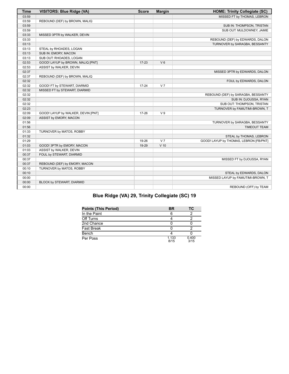| <b>Time</b> | <b>VISITORS: Blue Ridge (VA)</b>   | <b>Score</b> | <b>Margin</b>  | <b>HOME: Trinity Collegiate (SC)</b>   |
|-------------|------------------------------------|--------------|----------------|----------------------------------------|
| 03:59       |                                    |              |                | MISSED FT by THOMAS, LEBRON            |
| 03:59       | REBOUND (DEF) by BROWN, MALIQ      |              |                |                                        |
| 03:59       |                                    |              |                | SUB IN: THOMPSON, TRISTAN              |
| 03:59       |                                    |              |                | SUB OUT: MULDOWNEY, JAMIE              |
| 03:33       | MISSED 3PTR by WALKER, DEVIN       |              |                |                                        |
| 03:33       |                                    |              |                | REBOUND (DEF) by EDWARDS, DALON        |
| 03:13       |                                    |              |                | TURNOVER by SARAGBA, BESSANTY          |
| 03:13       | STEAL by RHOADES, LOGAN            |              |                |                                        |
| 03:13       | SUB IN: EMORY, MACON               |              |                |                                        |
| 03:13       | SUB OUT: RHOADES, LOGAN            |              |                |                                        |
| 02:53       | GOOD! LAYUP by BROWN, MALIQ [PNT]  | $17 - 23$    | $V_6$          |                                        |
| 02:53       | ASSIST by WALKER, DEVIN            |              |                |                                        |
| 02:37       |                                    |              |                | MISSED 3PTR by EDWARDS, DALON          |
| 02:37       | REBOUND (DEF) by BROWN, MALIQ      |              |                |                                        |
| 02:32       |                                    |              |                | FOUL by EDWARDS, DALON                 |
| 02:32       | GOOD! FT by STEWART, DIARMID       | $17 - 24$    | V <sub>7</sub> |                                        |
| 02:32       | MISSED FT by STEWART, DIARMID      |              |                |                                        |
| 02:32       |                                    |              |                | REBOUND (DEF) by SARAGBA, BESSANTY     |
| 02:32       |                                    |              |                | SUB IN: DJOUSSA, RYAN                  |
| 02:32       |                                    |              |                | SUB OUT: THOMPSON, TRISTAN             |
| 02:23       |                                    |              |                | TURNOVER by FAMUTIMI-BROWN, T          |
| 02:09       | GOOD! LAYUP by WALKER, DEVIN [PNT] | $17 - 26$    | V <sub>9</sub> |                                        |
| 02:09       | ASSIST by EMORY, MACON             |              |                |                                        |
| 01:56       |                                    |              |                | TURNOVER by SARAGBA, BESSANTY          |
| 01:56       |                                    |              |                | <b>TIMEOUT TEAM</b>                    |
| 01:33       | TURNOVER by MATOS, ROBBY           |              |                |                                        |
| 01:32       |                                    |              |                | STEAL by THOMAS, LEBRON                |
| 01:29       |                                    | 19-26        | V <sub>7</sub> | GOOD! LAYUP by THOMAS, LEBRON [FB/PNT] |
| 01:03       | GOOD! 3PTR by EMORY, MACON         | 19-29        | $V$ 10         |                                        |
| 01:03       | ASSIST by WALKER, DEVIN            |              |                |                                        |
| 00:37       | FOUL by STEWART, DIARMID           |              |                |                                        |
| 00:37       |                                    |              |                | MISSED FT by DJOUSSA, RYAN             |
| 00:37       | REBOUND (DEF) by EMORY, MACON      |              |                |                                        |
| 00:10       | TURNOVER by MATOS, ROBBY           |              |                |                                        |
| 00:10       |                                    |              |                | STEAL by EDWARDS, DALON                |
| 00:00       |                                    |              |                | MISSED LAYUP by FAMUTIMI-BROWN, T      |
| 00:00       | BLOCK by STEWART, DIARMID          |              |                |                                        |
| 00:00       |                                    |              |                | REBOUND (OFF) by TEAM                  |

# **Blue Ridge (VA) 29, Trinity Collegiate (SC) 19**

| <b>Points (This Period)</b> | BR            | ТC            |
|-----------------------------|---------------|---------------|
| In the Paint                |               |               |
| Off Turns                   |               |               |
| 2nd Chance                  |               |               |
| <b>Fast Break</b>           |               |               |
| Bench                       |               |               |
| Per Poss                    | 1.133<br>8/15 | 0.400<br>3/15 |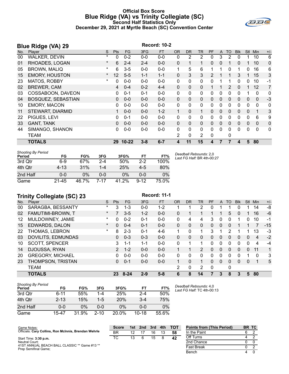# **Official Box Score Blue Ridge (VA) vs Trinity Collegiate (SC) Second Half Statistics Only December 29, 2021 at Myrtle Beach (SC) Convention Center**



|     | <b>Blue Ridge (VA) 29</b> |         |            |           |         | <b>Record: 10-2</b> |              |              |              |    |              |              |            |              |              |              |
|-----|---------------------------|---------|------------|-----------|---------|---------------------|--------------|--------------|--------------|----|--------------|--------------|------------|--------------|--------------|--------------|
| No. | Plaver                    | S       | <b>Pts</b> | <b>FG</b> | 3FG     | <b>FT</b>           | <b>OR</b>    | DR.          | <b>TR</b>    | PF | $\mathsf{A}$ | TO           | <b>BIK</b> | <b>Stl</b>   | Min          | $+/-$        |
| 00  | <b>WALKER, DEVIN</b>      | $\ast$  | 0          | $0 - 2$   | $0 - 0$ | $0 - 0$             | 0            | 2            | 2            | 0  | 3            | 2            | 0          |              | 10           | 6            |
| 01  | RHOADES, LOGAN            | $\ast$  | 6          | $2 - 4$   | $2 - 4$ | $0-0$               | $\Omega$     | 1            | 1            | 0  | 0            |              | 0          |              | 10           | $\mathbf 0$  |
| 05  | <b>BROWN, MALIQ</b>       | $\ast$  | 6          | $3-5$     | $0 - 0$ | $0-0$               | $\mathbf{1}$ | 5            | 6            |    | 1            | 0            | 1          | $\Omega$     | 16           | 6            |
| 15  | <b>EMORY, HOUSTON</b>     | $\star$ | 12         | $5 - 5$   | $1 - 1$ | $1 - 1$             | $\mathbf{0}$ | 3            | 3            | 2  |              |              | 3          |              | 15           | 3            |
| 23  | MATOS, ROBBY              | $\ast$  | 0          | $0-0$     | $0 - 0$ | $0-0$               | $\mathbf{0}$ | 0            | 0            | 0  |              |              | 0          | 0            | 10           | $-1$         |
| 02  | <b>BREWER, CAM</b>        |         | 4          | $0 - 4$   | $0 - 2$ | $4 - 4$             | $\Omega$     | $\Omega$     | 0            | 1  |              | 2            | $\Omega$   | $\mathbf{1}$ | 12           | 7            |
| 03  | COSSABOON, DAVEON         |         | 0          | $0 - 1$   | $0 - 1$ | $0 - 0$             | 0            | 0            | 0            | 0  | 0            | 0            | 0          |              | $\mathbf 0$  | 0            |
| 04  | BOSQUEZ, SEBASTIAN        |         | 0          | $0 - 0$   | $0 - 0$ | $0-0$               | $\Omega$     | $\mathbf{0}$ | 0            | 0  | $\mathbf{0}$ | $\mathbf{0}$ | 0          | $\mathbf{0}$ | $\mathbf{0}$ | $-3$         |
| 10  | <b>EMORY, MACON</b>       |         | 0          | $0 - 0$   | $0-0$   | $0-0$               | 0            | 0            | 0            | 0  | $\mathbf{0}$ | 0            | 0          | $\mathbf{0}$ | $\mathbf 0$  | 0            |
| 11  | <b>STEWART, DIARMID</b>   |         |            | $0 - 0$   | $0 - 0$ | $1 - 2$             | 1            | $\Omega$     | 1            | 0  | $\mathbf{0}$ | $\mathbf{0}$ | 0          | $\mathbf{0}$ | 1            | 3            |
| 22  | PIGUES, LEVI              |         | 0          | $0 - 1$   | $0 - 0$ | $0-0$               | $\Omega$     | $\Omega$     | $\mathbf{0}$ | 0  | 0            | 0            | 0          | $\Omega$     | 6            | 9            |
| 33  | <b>GANT, TANK</b>         |         | 0          | $0 - 0$   | $0 - 0$ | $0-0$               | $\mathbf{0}$ | $\mathbf{0}$ | 0            | 0  | $\Omega$     | 0            | 0          | 0            | $\mathbf 0$  | $\mathbf 0$  |
| 44  | SIMANGO, SHANON           |         | 0          | $0-0$     | $0 - 0$ | $0 - 0$             | $\Omega$     | $\Omega$     | 0            | 0  | $\Omega$     | $\Omega$     | 0          | $\Omega$     | $\Omega$     | $\mathbf{0}$ |
|     | <b>TEAM</b>               |         |            |           |         |                     | 2            | $\mathbf{0}$ | 2            | 0  |              | 0            |            |              |              |              |
|     | <b>TOTALS</b>             |         | 29         | $10 - 22$ | $3 - 8$ | $6 - 7$             | 4            | 11           | 15           | 4  |              |              | 4          | 5            | 80           |              |

| <b>Shooting By Period</b><br>Period | FG       | FG%   | 3FG     | 3FG%  | FT       | FT%   | Deadball Rebounds: 2,0<br>Last FG Half: BR 4th-00:27 |
|-------------------------------------|----------|-------|---------|-------|----------|-------|------------------------------------------------------|
| 3rd Qtr                             | $6-9$    | 67%   | $2 - 4$ | 50%   | $2 - 2$  | 100%  |                                                      |
| 4th Qtr                             | $4 - 13$ | 31%   | 1-4     | 25%   | $4-5$    | 80%   |                                                      |
| 2nd Half                            | $0 - 0$  | 0%    | ი-ი     | $0\%$ | $0 - 0$  | $0\%$ |                                                      |
| Game                                | 21-45    | 46.7% | 7-17    | 41.2% | $9 - 12$ | 75.0% |                                                      |

# **Trinity Collegiate (SC) 23** Record: 11-1

|     | <b>TOTALS</b>             |          | 23             | $8 - 24$ | $2 - 9$ | $5 - 8$   | 6            | 8              | 14             | 7            | 3            | 8        | 3          | 5        | 80       |       |
|-----|---------------------------|----------|----------------|----------|---------|-----------|--------------|----------------|----------------|--------------|--------------|----------|------------|----------|----------|-------|
|     | <b>TEAM</b>               |          |                |          |         |           | 2            | 0              | 2              | $\mathbf{0}$ |              | 0        |            |          |          |       |
| 23  | THOMPSON, TRISTAN         |          | 0              | $0 - 1$  | $0 - 0$ | $0 - 0$   | 1            | $\Omega$       | 1              | 0            | $\Omega$     | $\Omega$ | $\Omega$   | $\Omega$ | 1        | 5     |
| 20  | <b>GREGORY, MICHAEL</b>   |          | 0              | $0 - 0$  | $0 - 0$ | $0 - 0$   | 0            | 0              | 0              | 0            | 0            | 0        | 0          |          | $\Omega$ | 3     |
| 14  | DJOUSSA, RYAN             |          | $\overline{2}$ | $1 - 2$  | $0 - 0$ | $0 - 0$   |              |                | $\overline{2}$ | 0            | $\mathbf{0}$ | $\Omega$ | 0          | $\Omega$ | 11       | 1     |
| 10  | <b>SCOTT, SPENCER</b>     |          | 3              | $1 - 1$  | $1 - 1$ | $0 - 0$   | 0            |                | 1              | 0            | $\mathbf 0$  | 0        | 0          | $\Omega$ | 4        | $-4$  |
| 03  | DOVILITS, EDMUNDAS        |          | $\mathbf{0}$   | $0 - 3$  | $0 - 3$ | $0 - 0$   | $\Omega$     | 0              | 0              | 0            | $\Omega$     | 0        | 0          | $\Omega$ | 4        | $-2$  |
| 22  | THOMAS, LEBRON            | *        | 8              | $2 - 3$  | $0 - 1$ | $4-6$     | 1.           | 0              | 1              | 3            |              | 2        |            |          | 13       | $-3$  |
| 15  | EDWARDS, DALON            | $^\star$ | $\Omega$       | $0 - 4$  | $0 - 1$ | $0 - 0$   | $\mathbf{0}$ | $\mathbf{0}$   | 0              | 0            | $\Omega$     | 0        |            |          |          | $-15$ |
| 12  | MULDOWNEY, JAMIE          | *        | $\Omega$       | $0 - 2$  | $0 - 1$ | $0-0$     | 0            | 4              | 4              | 3            | $\Omega$     | 0        | 1          | 0        | 10       | $-1$  |
| 02  | FAMUTIMI-BROWN, T         | $^\star$ |                | $3 - 5$  | $1 - 2$ | $0 - 0$   | $\Omega$     |                |                |              |              | 5        | 0          |          | 16       | -6    |
| 00  | SARAGBA, BESSANTY         | $\star$  | 3              | $1 - 3$  | $0 - 0$ | $1 - 2$   |              |                | 2              | 0            |              |          | 0          |          | 14       | -8    |
| No. | Player                    | S        | Pts            | FG.      | 3FG     | <b>FT</b> | <b>OR</b>    | D <sub>R</sub> | TR             | PF           | $\mathsf{A}$ | TO       | <b>Blk</b> | Stl      | Min      | $+/-$ |
|     | $1.11111$ , $2.511231412$ |          |                |          |         |           |              |                |                |              |              |          |            |          |          |       |

| <b>Shooting By Period</b><br>Period | FG       | FG%   | 3FG      | 3FG%     | FT        | FT%   |
|-------------------------------------|----------|-------|----------|----------|-----------|-------|
| 3rd Otr                             | $6 - 11$ | 55%   | 1-4      | 25%      | $2 - 4$   | 50%   |
| 4th Otr                             | $2 - 13$ | 15%   | $1 - 5$  | 20%      | $3 - 4$   | 75%   |
| 2nd Half                            | $0 - 0$  | $0\%$ | 0-0      | $0\%$    | $0 - 0$   | $0\%$ |
| Game                                | 15-47    | 31.9% | $2 - 10$ | $20.0\%$ | $10 - 18$ | 55.6% |

*Deadball Rebounds:* 4,0 *Last FG Half:* TC 4th-00:13

| Game Notes:                                                           | <b>Score</b> |                 | 1st 2nd | 3rd | 4th | – тот | <b>Points from (This Period)</b> | BR TC |  |
|-----------------------------------------------------------------------|--------------|-----------------|---------|-----|-----|-------|----------------------------------|-------|--|
| Officials: Cary Collins, Ron McInnis, Brendan Wehrle                  | BR           |                 |         | 16  | 13  | 58    | In the Paint                     |       |  |
| Start Time: 3:30 p.m.                                                 | ТC           | 13 <sup>1</sup> |         | 15  |     | 42    | Off Turns                        |       |  |
| Neutral Court:                                                        |              |                 |         |     |     |       | 2nd Chance                       |       |  |
| 41ST ANNUAL BEACH BALL CLASSIC ** Game #13 **<br>Prep Semifinal Game; |              |                 |         |     |     |       | Fast Break                       |       |  |
|                                                                       |              |                 |         |     |     |       | Bench                            |       |  |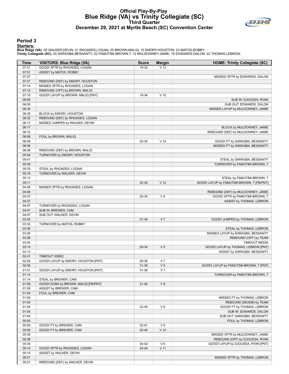# **Official Play-By-Play Blue Ridge (VA) vs Trinity Collegiate (SC) Third Quarter December 29, 2021 at Myrtle Beach (SC) Convention Center**



#### **Period 3**

#### **Starters:**

| Time           | <b>VISITORS: Blue Ridge (VA)</b>    | <b>Score</b> | <b>Margin</b>   | <b>HOME: Trinity Collegiate (SC)</b>      |
|----------------|-------------------------------------|--------------|-----------------|-------------------------------------------|
| 07:51          | GOOD! 3PTR by RHOADES, LOGAN        | 19-32        | V <sub>13</sub> |                                           |
| 07:51          | ASSIST by MATOS, ROBBY              |              |                 |                                           |
| 07:27          |                                     |              |                 | MISSED 3PTR by EDWARDS, DALON             |
| 07:27          | REBOUND (DEF) by EMORY, HOUSTON     |              |                 |                                           |
| 07:14          | MISSED 3PTR by RHOADES, LOGAN       |              |                 |                                           |
| 07:14          | REBOUND (OFF) by BROWN, MALIQ       |              |                 |                                           |
| 07:10          | GOOD! LAYUP by BROWN, MALIQ [PNT]   | 19-34        | V <sub>15</sub> |                                           |
| 06:50          |                                     |              |                 | SUB IN: DJOUSSA, RYAN                     |
| 06:50          |                                     |              |                 | SUB OUT: EDWARDS, DALON                   |
| 06:35          |                                     |              |                 | MISSED LAYUP by MULDOWNEY, JAMIE          |
| 06:35          | BLOCK by EMORY, HOUSTON             |              |                 |                                           |
| 06:32          | REBOUND (DEF) by RHOADES, LOGAN     |              |                 |                                           |
| 06:17          | MISSED JUMPER by WALKER, DEVIN      |              |                 |                                           |
| 06:17          |                                     |              |                 | BLOCK by MULDOWNEY, JAMIE                 |
| 06:15<br>06:08 |                                     |              |                 | REBOUND (DEF) by MULDOWNEY, JAMIE         |
| 06:08          | FOUL by BROWN, MALIQ                | 20-34        | V <sub>14</sub> | GOOD! FT by SARAGBA, BESSANTY             |
| 06:08          |                                     |              |                 | MISSED FT by SARAGBA, BESSANTY            |
| 06:08          | REBOUND (DEF) by BROWN, MALIQ       |              |                 |                                           |
| 05:44          | TURNOVER by EMORY, HOUSTON          |              |                 |                                           |
| 05:41          |                                     |              |                 | STEAL by SARAGBA, BESSANTY                |
| 05:34          |                                     |              |                 | TURNOVER by FAMUTIMI-BROWN, T             |
| 05:33          | STEAL by RHOADES, LOGAN             |              |                 |                                           |
| 05:16          | TURNOVER by WALKER, DEVIN           |              |                 |                                           |
| 05:13          |                                     |              |                 | STEAL by FAMUTIMI-BROWN, T                |
| 05:11          |                                     | 22-34        | V <sub>12</sub> | GOOD! LAYUP by FAMUTIMI-BROWN, T [FB/PNT] |
| 04:48          | MISSED 3PTR by RHOADES, LOGAN       |              |                 |                                           |
| 04:48          |                                     |              |                 | REBOUND (DEF) by MULDOWNEY, JAMIE         |
| 04:37          |                                     | 25-34        | V <sub>9</sub>  | GOOD! 3PTR by FAMUTIMI-BROWN, T           |
| 04:37          |                                     |              |                 | ASSIST by THOMAS, LEBRON                  |
| 04:07          | TURNOVER by RHOADES, LOGAN          |              |                 |                                           |
| 04:07          | SUB IN: BREWER, CAM                 |              |                 |                                           |
| 04:07          | SUB OUT: WALKER, DEVIN              |              |                 |                                           |
| 03:45          |                                     | 27-34        | V <sub>7</sub>  | GOOD! JUMPER by THOMAS, LEBRON            |
| 03:32          | TURNOVER by MATOS, ROBBY            |              |                 |                                           |
| 03:30          |                                     |              |                 | STEAL by THOMAS, LEBRON                   |
| 03:26          |                                     |              |                 | MISSED LAYUP by SARAGBA, BESSANTY         |
| 03:26          |                                     |              |                 | REBOUND (OFF) by TEAM                     |
| 03:24          |                                     |              |                 | <b>TIMEOUT MEDIA</b>                      |
| 03:13          |                                     | 29-34        | V <sub>5</sub>  | GOOD! LAYUP by THOMAS, LEBRON [PNT]       |
| 03:13<br>02:41 | TIMEOUT 30SEC                       |              |                 | ASSIST by SARAGBA, BESSANTY               |
| 02:26          | GOOD! LAYUP by EMORY, HOUSTON [PNT] | 29-36        | V <sub>7</sub>  |                                           |
| 02:06          |                                     | 31-36        | V <sub>5</sub>  | GOOD! LAYUP by FAMUTIMI-BROWN, T [PNT]    |
| 01:51          | GOOD! LAYUP by EMORY, HOUSTON [PNT] | 31-38        | V <sub>7</sub>  |                                           |
| 01:14          |                                     |              |                 | TURNOVER by FAMUTIMI-BROWN, T             |
| 01:14          | STEAL by BREWER, CAM                |              |                 |                                           |
| 01:09          | GOOD! DUNK by BROWN, MALIQ [FB/PNT] | $31 - 40$    | V <sub>9</sub>  |                                           |
| 01:09          | ASSIST by BREWER, CAM               |              |                 |                                           |
| 01:04          | FOUL by BREWER, CAM                 |              |                 |                                           |
| 01:04          |                                     |              |                 | MISSED FT by THOMAS, LEBRON               |
| 01:04          |                                     |              |                 | REBOUND (DEADB) by TEAM                   |
| 01:04          |                                     | 32-40        | $V_8$           | GOOD! FT by THOMAS, LEBRON                |
| 01:04          |                                     |              |                 | SUB IN: EDWARDS, DALON                    |
| 01:04          |                                     |              |                 | SUB OUT: SARAGBA, BESSANTY                |
| 00:50          |                                     |              |                 | FOUL by THOMAS, LEBRON                    |
| 00:50          | GOOD! FT by BREWER, CAM             | $32 - 41$    | V <sub>9</sub>  |                                           |
| 00:50          | GOOD! FT by BREWER, CAM             | $32 - 42$    | $V$ 10          |                                           |
| 00:38          |                                     |              |                 | MISSED 3PTR by MULDOWNEY, JAMIE           |
| 00:38          |                                     |              |                 | REBOUND (OFF) by DJOUSSA, RYAN            |
| 00:34          |                                     | 34-42        | V8              | GOOD! LAYUP by DJOUSSA, RYAN [PNT]        |
| 00:14          | GOOD! 3PTR by RHOADES, LOGAN        | 34-45        | $V$ 11          |                                           |
| 00:14          | ASSIST by WALKER, DEVIN             |              |                 |                                           |
| 00:01          |                                     |              |                 | MISSED 3PTR by THOMAS, LEBRON             |
| 00:01          | REBOUND (DEF) by WALKER, DEVIN      |              |                 |                                           |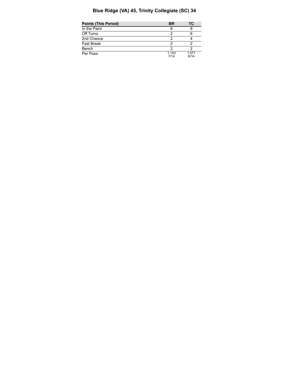# **Blue Ridge (VA) 45, Trinity Collegiate (SC) 34**

| <b>Points (This Period)</b> | BR            | тс            |
|-----------------------------|---------------|---------------|
| In the Paint                |               |               |
| Off Turns                   |               |               |
| 2nd Chance                  |               |               |
| Fast Break                  |               |               |
| Bench                       |               |               |
| Per Poss                    | 1.143<br>7/14 | 1.071<br>8/14 |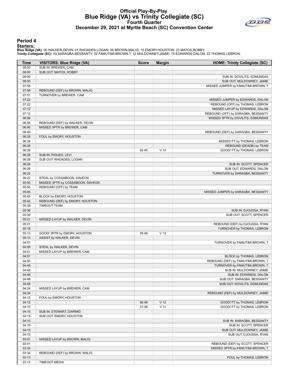# **Official Play-By-Play Blue Ridge (VA) vs Trinity Collegiate (SC) Fourth Quarter December 29, 2021 at Myrtle Beach (SC) Convention Center**



#### **Period 4**

#### **Starters:**

| Time           | <b>VISITORS: Blue Ridge (VA)</b>                               | <b>Score</b> | <b>Margin</b>   | <b>HOME: Trinity Collegiate (SC)</b>                               |
|----------------|----------------------------------------------------------------|--------------|-----------------|--------------------------------------------------------------------|
| 08:00          | SUB IN: BREWER, CAM                                            |              |                 |                                                                    |
| 08:00          | SUB OUT: MATOS, ROBBY                                          |              |                 |                                                                    |
| 08:00          |                                                                |              |                 | SUB IN: DOVILITS, EDMUNDAS                                         |
| 08:00          |                                                                |              |                 | SUB OUT: MULDOWNEY, JAMIE                                          |
| 07:58          |                                                                |              |                 | MISSED JUMPER by FAMUTIMI-BROWN, T                                 |
| 07:58          | REBOUND (DEF) by BROWN, MALIQ                                  |              |                 |                                                                    |
| 07:51          | TURNOVER by BREWER, CAM                                        |              |                 |                                                                    |
| 07:22<br>07:22 |                                                                |              |                 | MISSED JUMPER by EDWARDS, DALON<br>REBOUND (OFF) by THOMAS, LEBRON |
| 07:12          |                                                                |              |                 | MISSED LAYUP by EDWARDS, DALON                                     |
| 07:12          |                                                                |              |                 | REBOUND (OFF) by SARAGBA, BESSANTY                                 |
| 06:56          |                                                                |              |                 | MISSED 3PTR by DOVILITS, EDMUNDAS                                  |
| 06:56          | REBOUND (DEF) by WALKER, DEVIN                                 |              |                 |                                                                    |
| 06:40          | MISSED 3PTR by BREWER, CAM                                     |              |                 |                                                                    |
| 06:40          |                                                                |              |                 | REBOUND (DEF) by SARAGBA, BESSANTY                                 |
| 06:28          | FOUL by EMORY, HOUSTON                                         |              |                 |                                                                    |
| 06:28          |                                                                |              |                 | MISSED FT by THOMAS, LEBRON                                        |
| 06:28          |                                                                |              |                 | REBOUND (DEADB) by TEAM                                            |
| 06:28          |                                                                | 35-45        | $V$ 10          | GOOD! FT by THOMAS, LEBRON                                         |
| 06:28          | SUB IN: PIGUES, LEVI                                           |              |                 |                                                                    |
| 06:28          | SUB OUT: RHOADES, LOGAN                                        |              |                 |                                                                    |
| 06:28          |                                                                |              |                 | SUB IN: SCOTT, SPENCER                                             |
| 06:28          |                                                                |              |                 | SUB OUT: EDWARDS, DALON                                            |
| 06:22          |                                                                |              |                 | TURNOVER by SARAGBA, BESSANTY                                      |
| 06:22<br>05:55 | STEAL by COSSABOON, DAVEON<br>MISSED 3PTR by COSSABOON, DAVEON |              |                 |                                                                    |
| 05:55          | REBOUND (OFF) by TEAM                                          |              |                 |                                                                    |
| 05:45          |                                                                |              |                 | MISSED JUMPER by SARAGBA, BESSANTY                                 |
| 05:45          | BLOCK by EMORY, HOUSTON                                        |              |                 |                                                                    |
| 05:42          | REBOUND (DEF) by EMORY, HOUSTON                                |              |                 |                                                                    |
| 05:38          | <b>TIMEOUT TEAM</b>                                            |              |                 |                                                                    |
| 05:38          |                                                                |              |                 | SUB IN: DJOUSSA, RYAN                                              |
| 05:38          |                                                                |              |                 | SUB OUT: SCOTT, SPENCER                                            |
| 05:21          | MISSED LAYUP by WALKER, DEVIN                                  |              |                 |                                                                    |
| 05:21          |                                                                |              |                 | REBOUND (DEF) by DJOUSSA, RYAN                                     |
| 05:18          |                                                                |              |                 | TURNOVER by THOMAS, LEBRON                                         |
| 05:13          | GOOD! 3PTR by EMORY, HOUSTON                                   | 35-48        | V <sub>13</sub> |                                                                    |
| 05:13          | ASSIST by WALKER, DEVIN                                        |              |                 |                                                                    |
| 04:57          |                                                                |              |                 | TURNOVER by FAMUTIMI-BROWN, T                                      |
| 04:55          | STEAL by WALKER, DEVIN                                         |              |                 |                                                                    |
| 04:51<br>04:51 | MISSED LAYUP by BREWER, CAM                                    |              |                 | BLOCK by THOMAS, LEBRON                                            |
| 04:50          |                                                                |              |                 | REBOUND (DEF) by FAMUTIMI-BROWN, T                                 |
| 04:48          |                                                                |              |                 | TURNOVER by FAMUTIMI-BROWN, T                                      |
| 04:48          |                                                                |              |                 | SUB IN: MULDOWNEY, JAMIE                                           |
| 04:48          |                                                                |              |                 | SUB IN: EDWARDS, DALON                                             |
| 04:48          |                                                                |              |                 | SUB OUT: SARAGBA, BESSANTY                                         |
| 04:48          |                                                                |              |                 | SUB OUT: DOVILITS, EDMUNDAS                                        |
| 04:24          | MISSED LAYUP by BREWER, CAM                                    |              |                 |                                                                    |
| 04:24          |                                                                |              |                 | REBOUND (DEF) by MULDOWNEY, JAMIE                                  |
| 04:15          | FOUL by EMORY, HOUSTON                                         |              |                 |                                                                    |
| 04:15          |                                                                | 36-48        | V <sub>12</sub> | GOOD! FT by THOMAS, LEBRON                                         |
| 04:15          |                                                                | 37-48        | $V$ 11          | GOOD! FT by THOMAS, LEBRON                                         |
| 04:15          | SUB IN: STEWART, DIARMID                                       |              |                 |                                                                    |
| 04:15          | SUB OUT: EMORY, HOUSTON                                        |              |                 |                                                                    |
| 04:15          |                                                                |              |                 | SUB IN: SARAGBA, BESSANTY                                          |
| 04:15<br>04:15 |                                                                |              |                 | SUB IN: SCOTT, SPENCER<br>SUB OUT: MULDOWNEY, JAMIE                |
| 04:15          |                                                                |              |                 | SUB OUT: DJOUSSA, RYAN                                             |
| 03:41          | MISSED LAYUP by BROWN, MALIQ                                   |              |                 |                                                                    |
| 03:41          |                                                                |              |                 | REBOUND (DEF) by SCOTT, SPENCER                                    |
| 03:34          |                                                                |              |                 | MISSED 3PTR by FAMUTIMI-BROWN, T                                   |
| 03:34          | REBOUND (DEF) by BROWN, MALIQ                                  |              |                 |                                                                    |
| 03:13          |                                                                |              |                 | FOUL by THOMAS, LEBRON                                             |
| 03:13          | <b>TIMEOUT MEDIA</b>                                           |              |                 |                                                                    |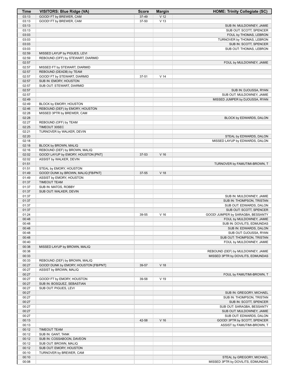| <b>Time</b>    | <b>VISITORS: Blue Ridge (VA)</b>                         | <b>Score</b> | <b>Margin</b>   | <b>HOME: Trinity Collegiate (SC)</b>                    |
|----------------|----------------------------------------------------------|--------------|-----------------|---------------------------------------------------------|
| 03:13          | GOOD! FT by BREWER, CAM                                  | 37-49        | V <sub>12</sub> |                                                         |
| 03:13          | GOOD! FT by BREWER, CAM                                  | 37-50        | V <sub>13</sub> |                                                         |
| 03:13          |                                                          |              |                 | SUB IN: MULDOWNEY, JAMIE                                |
| 03:13          |                                                          |              |                 | SUB OUT: SCOTT, SPENCER                                 |
| 03:03          |                                                          |              |                 | FOUL by THOMAS, LEBRON                                  |
| 03:03          |                                                          |              |                 | TURNOVER by THOMAS, LEBRON                              |
| 03:03          |                                                          |              |                 | SUB IN: SCOTT, SPENCER                                  |
| 03:03          |                                                          |              |                 | SUB OUT: THOMAS, LEBRON                                 |
| 02:59          | MISSED LAYUP by PIGUES, LEVI                             |              |                 |                                                         |
| 02:59          | REBOUND (OFF) by STEWART, DIARMID                        |              |                 |                                                         |
| 02:57<br>02:57 |                                                          |              |                 | FOUL by MULDOWNEY, JAMIE                                |
| 02:57          | MISSED FT by STEWART, DIARMID<br>REBOUND (DEADB) by TEAM |              |                 |                                                         |
| 02:57          | GOOD! FT by STEWART, DIARMID                             | 37-51        | V <sub>14</sub> |                                                         |
| 02:57          | SUB IN: EMORY, HOUSTON                                   |              |                 |                                                         |
| 02:57          | SUB OUT: STEWART, DIARMID                                |              |                 |                                                         |
| 02:57          |                                                          |              |                 | SUB IN: DJOUSSA, RYAN                                   |
| 02:57          |                                                          |              |                 | SUB OUT: MULDOWNEY, JAMIE                               |
| 02:49          |                                                          |              |                 | MISSED JUMPER by DJOUSSA, RYAN                          |
| 02:49          | BLOCK by EMORY, HOUSTON                                  |              |                 |                                                         |
| 02:46          | REBOUND (DEF) by EMORY, HOUSTON                          |              |                 |                                                         |
| 02:28          | MISSED 3PTR by BREWER, CAM                               |              |                 |                                                         |
| 02:28          |                                                          |              |                 | BLOCK by EDWARDS, DALON                                 |
| 02:27          | REBOUND (OFF) by TEAM                                    |              |                 |                                                         |
| 02:25          | TIMEOUT 30SEC                                            |              |                 |                                                         |
| 02:21          | TURNOVER by WALKER, DEVIN                                |              |                 |                                                         |
| 02:20          |                                                          |              |                 | STEAL by EDWARDS, DALON                                 |
| 02:18          |                                                          |              |                 | MISSED LAYUP by EDWARDS, DALON                          |
| 02:18          | BLOCK by BROWN, MALIQ                                    |              |                 |                                                         |
| 02:16          | REBOUND (DEF) by BROWN, MALIQ                            |              |                 |                                                         |
| 02:02          | GOOD! LAYUP by EMORY, HOUSTON [PNT]                      | 37-53        | V <sub>16</sub> |                                                         |
| 02:02          | ASSIST by WALKER, DEVIN                                  |              |                 |                                                         |
| 01:51          |                                                          |              |                 | TURNOVER by FAMUTIMI-BROWN, T                           |
| 01:51          | STEAL by EMORY, HOUSTON                                  |              |                 |                                                         |
| 01:49          | GOOD! DUNK by BROWN, MALIQ [FB/PNT]                      | 37-55        | V <sub>18</sub> |                                                         |
| 01:49          | ASSIST by EMORY, HOUSTON                                 |              |                 |                                                         |
| 01:37          | <b>TIMEOUT TEAM</b>                                      |              |                 |                                                         |
| 01:37          | SUB IN: MATOS, ROBBY                                     |              |                 |                                                         |
| 01:37          | SUB OUT: WALKER, DEVIN                                   |              |                 |                                                         |
| 01:37<br>01:37 |                                                          |              |                 | SUB IN: MULDOWNEY, JAMIE<br>SUB IN: THOMPSON, TRISTAN   |
| 01:37          |                                                          |              |                 | SUB OUT: EDWARDS, DALON                                 |
| 01:37          |                                                          |              |                 | SUB OUT: SCOTT, SPENCER                                 |
| 01:24          |                                                          | 39-55        | V <sub>16</sub> | GOOD! JUMPER by SARAGBA, BESSANTY                       |
| 00:48          |                                                          |              |                 | FOUL by MULDOWNEY, JAMIE                                |
| 00:48          |                                                          |              |                 | SUB IN: DOVILITS, EDMUNDAS                              |
| 00:48          |                                                          |              |                 | SUB IN: EDWARDS, DALON                                  |
| 00:48          |                                                          |              |                 | SUB OUT: DJOUSSA, RYAN                                  |
| 00:48          |                                                          |              |                 | SUB OUT: THOMPSON, TRISTAN                              |
| 00:40          |                                                          |              |                 | FOUL by MULDOWNEY, JAMIE                                |
| 00:38          | MISSED LAYUP by BROWN, MALIQ                             |              |                 |                                                         |
| 00:38          |                                                          |              |                 | REBOUND (DEF) by MULDOWNEY, JAMIE                       |
| 00:33          |                                                          |              |                 | MISSED 3PTR by DOVILITS, EDMUNDAS                       |
| 00:33          | REBOUND (DEF) by BROWN, MALIQ                            |              |                 |                                                         |
| 00:27          | GOOD! DUNK by EMORY, HOUSTON [FB/PNT]                    | 39-57        | V <sub>18</sub> |                                                         |
| 00:27          | ASSIST by BROWN, MALIQ                                   |              |                 |                                                         |
| 00:27          |                                                          |              |                 | FOUL by FAMUTIMI-BROWN, T                               |
| 00:27          | GOOD! FT by EMORY, HOUSTON                               | 39-58        | $V$ 19          |                                                         |
| 00:27          | SUB IN: BOSQUEZ, SEBASTIAN                               |              |                 |                                                         |
| 00:27          | SUB OUT: PIGUES, LEVI                                    |              |                 |                                                         |
| 00:27          |                                                          |              |                 | SUB IN: GREGORY, MICHAEL                                |
| 00:27          |                                                          |              |                 | SUB IN: THOMPSON, TRISTAN                               |
| 00:27          |                                                          |              |                 | SUB IN: SCOTT, SPENCER                                  |
| 00:27          |                                                          |              |                 | SUB OUT: SARAGBA, BESSANTY                              |
| 00:27          |                                                          |              |                 | SUB OUT: MULDOWNEY, JAMIE                               |
| 00:27<br>00:13 |                                                          | 42-58        | V <sub>16</sub> | SUB OUT: EDWARDS, DALON<br>GOOD! 3PTR by SCOTT, SPENCER |
| 00:13          |                                                          |              |                 | ASSIST by FAMUTIMI-BROWN, T                             |
| 00:12          | <b>TIMEOUT TEAM</b>                                      |              |                 |                                                         |
| 00:12          | SUB IN: GANT, TANK                                       |              |                 |                                                         |
| 00:12          | SUB IN: COSSABOON, DAVEON                                |              |                 |                                                         |
| 00:12          | SUB OUT: BROWN, MALIQ                                    |              |                 |                                                         |
| 00:12          | SUB OUT: EMORY, HOUSTON                                  |              |                 |                                                         |
| 00:10          | TURNOVER by BREWER, CAM                                  |              |                 |                                                         |
| 00:10          |                                                          |              |                 | STEAL by GREGORY, MICHAEL                               |
| 00:08          |                                                          |              |                 | MISSED 3PTR by DOVILITS, EDMUNDAS                       |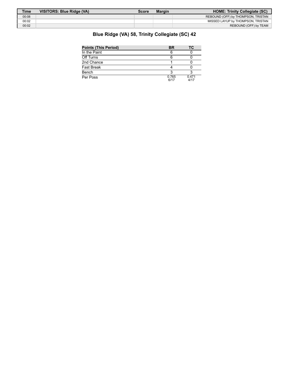| Time  | VISITORS: Blue Ridge (VA) | Score | <b>Margin</b> | <b>HOME: Trinity Collegiate (SC)</b> |
|-------|---------------------------|-------|---------------|--------------------------------------|
| 00:08 |                           |       |               | REBOUND (OFF) by THOMPSON, TRISTAN   |
| 00:02 |                           |       |               | MISSED LAYUP by THOMPSON, TRISTAN    |
| 00:02 |                           |       |               | REBOUND (OFF) by TEAM                |

# **Blue Ridge (VA) 58, Trinity Collegiate (SC) 42**

| <b>Points (This Period)</b> | <b>BR</b>     | ТC            |  |
|-----------------------------|---------------|---------------|--|
| In the Paint                |               |               |  |
| Off Turns                   |               |               |  |
| 2nd Chance                  |               |               |  |
| Fast Break                  |               |               |  |
| Bench                       |               |               |  |
| Per Poss                    | 0.765<br>6/17 | 0.471<br>4/17 |  |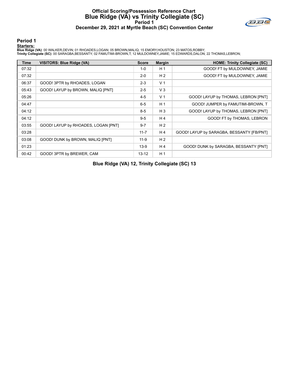# **Official Scoring/Possession Reference Chart Blue Ridge (VA) vs Trinity Collegiate (SC) Period 1 December 29, 2021 at Myrtle Beach (SC) Convention Center**



#### **Period 1**

#### **Starters:**

Blue Ridge (VA): 00 WALKER,DEVIN; 01 RHOADES,LOGAN; 05 BROWN,MALIQ; 15 EMORY,HOUSTON; 23 MATOS,ROBBY;<br>Trinity Collegiate (SC): 00 SARAGBA,BESSANTY; 02 FAMUTIMI-BROWN,T; 12 MULDOWNEY,JAMIE; 15 EDWARDS,DALON; 22 THOMAS,LEBRO

| <b>Time</b> | <b>VISITORS: Blue Ridge (VA)</b>    | <b>Score</b> | <b>Margin</b>  | <b>HOME: Trinity Collegiate (SC)</b>      |
|-------------|-------------------------------------|--------------|----------------|-------------------------------------------|
| 07:32       |                                     | $1 - 0$      | H <sub>1</sub> | GOOD! FT by MULDOWNEY, JAMIE              |
| 07:32       |                                     | $2 - 0$      | H <sub>2</sub> | GOOD! FT by MULDOWNEY, JAMIE              |
| 06:37       | GOOD! 3PTR by RHOADES, LOGAN        | $2 - 3$      | V <sub>1</sub> |                                           |
| 05:43       | GOOD! LAYUP by BROWN, MALIQ [PNT]   | $2 - 5$      | $V_3$          |                                           |
| 05:26       |                                     | $4 - 5$      | V <sub>1</sub> | GOOD! LAYUP by THOMAS, LEBRON [PNT]       |
| 04:47       |                                     | $6 - 5$      | H <sub>1</sub> | GOOD! JUMPER by FAMUTIMI-BROWN, T         |
| 04:12       |                                     | $8 - 5$      | $H_3$          | GOOD! LAYUP by THOMAS, LEBRON [PNT]       |
| 04:12       |                                     | $9 - 5$      | H4             | GOOD! FT by THOMAS, LEBRON                |
| 03:55       | GOOD! LAYUP by RHOADES, LOGAN [PNT] | $9 - 7$      | H <sub>2</sub> |                                           |
| 03:28       |                                     | $11 - 7$     | H <sub>4</sub> | GOOD! LAYUP by SARAGBA, BESSANTY [FB/PNT] |
| 03:08       | GOOD! DUNK by BROWN, MALIQ [PNT]    | $11-9$       | H <sub>2</sub> |                                           |
| 01:23       |                                     | $13-9$       | H4             | GOOD! DUNK by SARAGBA, BESSANTY [PNT]     |
| 00:42       | GOOD! 3PTR by BREWER, CAM           | $13 - 12$    | H <sub>1</sub> |                                           |

**Blue Ridge (VA) 12, Trinity Collegiate (SC) 13**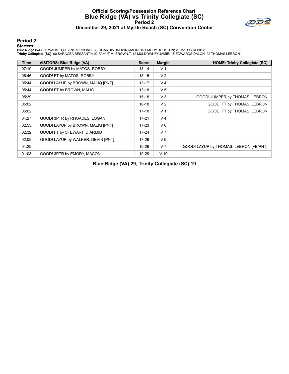# **Official Scoring/Possession Reference Chart Blue Ridge (VA) vs Trinity Collegiate (SC) Period 2 December 29, 2021 at Myrtle Beach (SC) Convention Center**



#### **Period 2**

#### **Starters:**

Blue Ridge (VA): 00 WALKER,DEVIN; 01 RHOADES,LOGAN; 05 BROWN,MALIQ; 15 EMORY,HOUSTON; 23 MATOS,ROBBY;<br>Trinity Collegiate (SC): 00 SARAGBA,BESSANTY; 02 FAMUTIMI-BROWN,T; 12 MULDOWNEY,JAMIE; 15 EDWARDS,DALON; 22 THOMAS,LEBRO

| <b>Time</b> | <b>VISITORS: Blue Ridge (VA)</b>   | <b>Score</b> | <b>Margin</b>  | <b>HOME: Trinity Collegiate (SC)</b>   |
|-------------|------------------------------------|--------------|----------------|----------------------------------------|
| 07:10       | GOOD! JUMPER by MATOS, ROBBY       | $13 - 14$    | V <sub>1</sub> |                                        |
| 06:46       | GOOD! FT by MATOS, ROBBY           | $13 - 15$    | V <sub>2</sub> |                                        |
| 05:44       | GOOD! LAYUP by BROWN, MALIQ [PNT]  | 13-17        | V <sub>4</sub> |                                        |
| 05:44       | GOOD! FT by BROWN, MALIQ           | $13 - 18$    | V <sub>5</sub> |                                        |
| 05:39       |                                    | $15 - 18$    | V <sub>3</sub> | GOOD! JUMPER by THOMAS, LEBRON         |
| 05:02       |                                    | $16 - 18$    | V <sub>2</sub> | GOOD! FT by THOMAS, LEBRON             |
| 05:02       |                                    | $17-18$      | V <sub>1</sub> | GOOD! FT by THOMAS, LEBRON             |
| 04:27       | GOOD! 3PTR by RHOADES, LOGAN       | $17 - 21$    | V <sub>4</sub> |                                        |
| 02:53       | GOOD! LAYUP by BROWN, MALIQ [PNT]  | 17-23        | $V_6$          |                                        |
| 02:32       | GOOD! FT by STEWART, DIARMID       | $17 - 24$    | V <sub>7</sub> |                                        |
| 02:09       | GOOD! LAYUP by WALKER, DEVIN [PNT] | $17 - 26$    | V <sub>9</sub> |                                        |
| 01:29       |                                    | 19-26        | V <sub>7</sub> | GOOD! LAYUP by THOMAS, LEBRON [FB/PNT] |
| 01:03       | GOOD! 3PTR by EMORY, MACON         | 19-29        | $V$ 10         |                                        |

**Blue Ridge (VA) 29, Trinity Collegiate (SC) 19**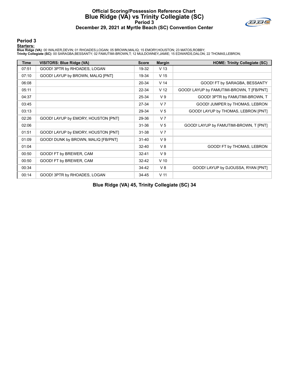# **Official Scoring/Possession Reference Chart Blue Ridge (VA) vs Trinity Collegiate (SC) Period 3 December 29, 2021 at Myrtle Beach (SC) Convention Center**



## **Period 3**

#### **Starters:**

Blue Ridge (VA): 00 WALKER,DEVIN; 01 RHOADES,LOGAN; 05 BROWN,MALIQ; 15 EMORY,HOUSTON; 23 MATOS,ROBBY;<br>Trinity Collegiate (SC): 00 SARAGBA,BESSANTY; 02 FAMUTIMI-BROWN,T; 12 MULDOWNEY,JAMIE; 15 EDWARDS,DALON; 22 THOMAS,LEBRO

| <b>Time</b> | <b>VISITORS: Blue Ridge (VA)</b>    | <b>Score</b> | <b>Margin</b>   | <b>HOME: Trinity Collegiate (SC)</b>      |
|-------------|-------------------------------------|--------------|-----------------|-------------------------------------------|
| 07:51       | GOOD! 3PTR by RHOADES, LOGAN        | 19-32        | V <sub>13</sub> |                                           |
| 07:10       | GOOD! LAYUP by BROWN, MALIQ [PNT]   | 19-34        | V <sub>15</sub> |                                           |
| 06:08       |                                     | 20-34        | V <sub>14</sub> | GOOD! FT by SARAGBA, BESSANTY             |
| 05:11       |                                     | 22-34        | V <sub>12</sub> | GOOD! LAYUP by FAMUTIMI-BROWN, T [FB/PNT] |
| 04:37       |                                     | 25-34        | V <sub>9</sub>  | GOOD! 3PTR by FAMUTIMI-BROWN, T           |
| 03:45       |                                     | 27-34        | V <sub>7</sub>  | GOOD! JUMPER by THOMAS, LEBRON            |
| 03:13       |                                     | 29-34        | V <sub>5</sub>  | GOOD! LAYUP by THOMAS, LEBRON [PNT]       |
| 02:26       | GOOD! LAYUP by EMORY, HOUSTON [PNT] | 29-36        | V <sub>7</sub>  |                                           |
| 02:06       |                                     | $31 - 36$    | V <sub>5</sub>  | GOOD! LAYUP by FAMUTIMI-BROWN, T [PNT]    |
| 01:51       | GOOD! LAYUP by EMORY, HOUSTON [PNT] | $31 - 38$    | V <sub>7</sub>  |                                           |
| 01:09       | GOOD! DUNK by BROWN, MALIQ [FB/PNT] | $31 - 40$    | V <sub>9</sub>  |                                           |
| 01:04       |                                     | $32 - 40$    | V8              | GOOD! FT by THOMAS, LEBRON                |
| 00:50       | GOOD! FT by BREWER, CAM             | $32 - 41$    | V <sub>9</sub>  |                                           |
| 00:50       | GOOD! FT by BREWER, CAM             | $32 - 42$    | $V$ 10          |                                           |
| 00:34       |                                     | 34-42        | V8              | GOOD! LAYUP by DJOUSSA, RYAN [PNT]        |
| 00:14       | GOOD! 3PTR by RHOADES, LOGAN        | 34-45        | V <sub>11</sub> |                                           |

**Blue Ridge (VA) 45, Trinity Collegiate (SC) 34**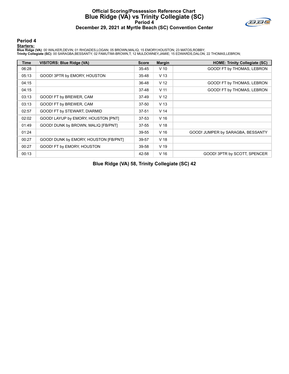# **Official Scoring/Possession Reference Chart Blue Ridge (VA) vs Trinity Collegiate (SC) Period 4 December 29, 2021 at Myrtle Beach (SC) Convention Center**



#### **Period 4**

#### **Starters:**

Blue Ridge (VA): 00 WALKER,DEVIN; 01 RHOADES,LOGAN; 05 BROWN,MALIQ; 15 EMORY,HOUSTON; 23 MATOS,ROBBY;<br>Trinity Collegiate (SC): 00 SARAGBA,BESSANTY; 02 FAMUTIMI-BROWN,T; 12 MULDOWNEY,JAMIE; 15 EDWARDS,DALON; 22 THOMAS,LEBRO

| Time  | <b>VISITORS: Blue Ridge (VA)</b>      | <b>Score</b> | <b>Margin</b>   | <b>HOME: Trinity Collegiate (SC)</b> |
|-------|---------------------------------------|--------------|-----------------|--------------------------------------|
| 06:28 |                                       | $35 - 45$    | $V$ 10          | GOOD! FT by THOMAS, LEBRON           |
| 05:13 | GOOD! 3PTR by EMORY, HOUSTON          | 35-48        | V <sub>13</sub> |                                      |
| 04:15 |                                       | 36-48        | V <sub>12</sub> | GOOD! FT by THOMAS, LEBRON           |
| 04:15 |                                       | 37-48        | V <sub>11</sub> | GOOD! FT by THOMAS, LEBRON           |
| 03:13 | GOOD! FT by BREWER, CAM               | 37-49        | V <sub>12</sub> |                                      |
| 03:13 | GOOD! FT by BREWER, CAM               | 37-50        | V <sub>13</sub> |                                      |
| 02:57 | GOOD! FT by STEWART, DIARMID          | $37 - 51$    | V <sub>14</sub> |                                      |
| 02:02 | GOOD! LAYUP by EMORY, HOUSTON [PNT]   | $37 - 53$    | V 16            |                                      |
| 01:49 | GOOD! DUNK by BROWN, MALIQ [FB/PNT]   | 37-55        | V <sub>18</sub> |                                      |
| 01:24 |                                       | 39-55        | V <sub>16</sub> | GOOD! JUMPER by SARAGBA, BESSANTY    |
| 00:27 | GOOD! DUNK by EMORY, HOUSTON [FB/PNT] | 39-57        | V <sub>18</sub> |                                      |
| 00:27 | GOOD! FT by EMORY, HOUSTON            | 39-58        | V 19            |                                      |
| 00:13 |                                       | 42-58        | V 16            | GOOD! 3PTR by SCOTT, SPENCER         |

**Blue Ridge (VA) 58, Trinity Collegiate (SC) 42**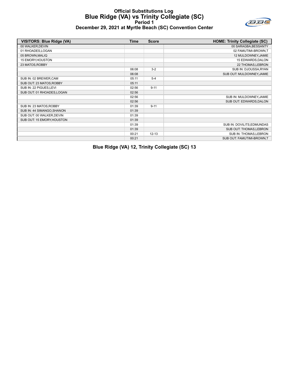# **Official Substitutions Log Blue Ridge (VA) vs Trinity Collegiate (SC) Period 1 December 29, 2021 at Myrtle Beach (SC) Convention Center**



| <b>VISITORS: Blue Ridge (VA)</b> | <b>Time</b> | <b>Score</b> | <b>HOME: Trinity Collegiate (SC)</b> |
|----------------------------------|-------------|--------------|--------------------------------------|
| 00 WALKER, DEVIN                 |             |              | 00 SARAGBA, BESSANTY                 |
| 01 RHOADES, LOGAN                |             |              | 02 FAMUTIMI-BROWN,T                  |
| 05 BROWN, MALIQ                  |             |              | 12 MULDOWNEY, JAMIE                  |
| 15 EMORY, HOUSTON                |             |              | 15 EDWARDS, DALON                    |
| 23 MATOS, ROBBY                  |             |              | 22 THOMAS, LEBRON                    |
|                                  | 06:08       | $3 - 2$      | SUB IN: DJOUSSA, RYAN                |
|                                  | 06:08       |              | SUB OUT: MULDOWNEY, JAMIE            |
| SUB IN: 02 BREWER,CAM            | 05:11       | $5 - 4$      |                                      |
| SUB OUT: 23 MATOS, ROBBY         | 05:11       |              |                                      |
| SUB IN: 22 PIGUES, LEVI          | 02:56       | $9 - 11$     |                                      |
| SUB OUT: 01 RHOADES, LOGAN       | 02:56       |              |                                      |
|                                  | 02:56       |              | SUB IN: MULDOWNEY, JAMIE             |
|                                  | 02:56       |              | SUB OUT: EDWARDS, DALON              |
| SUB IN: 23 MATOS, ROBBY          | 01:39       | $9 - 11$     |                                      |
| SUB IN: 44 SIMANGO, SHANON       | 01:39       |              |                                      |
| SUB OUT: 00 WALKER, DEVIN        | 01:39       |              |                                      |
| SUB OUT: 15 EMORY, HOUSTON       | 01:39       |              |                                      |
|                                  | 01:39       |              | SUB IN: DOVILITS, EDMUNDAS           |
|                                  | 01:39       |              | SUB OUT: THOMAS, LEBRON              |
|                                  | 00:21       | $12 - 13$    | SUB IN: THOMAS, LEBRON               |
|                                  | 00:21       |              | SUB OUT: FAMUTIMI-BROWN,T            |

**Blue Ridge (VA) 12, Trinity Collegiate (SC) 13**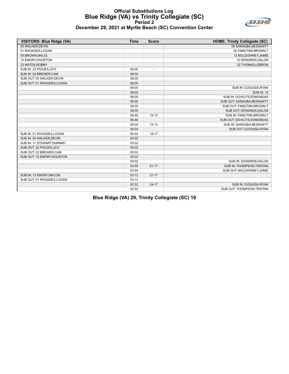#### **Official Substitutions Log Blue Ridge (VA) vs Trinity Collegiate (SC) Period 2 December 29, 2021 at Myrtle Beach (SC) Convention Center**



| <b>VISITORS: Blue Ridge (VA)</b> | <b>Time</b> | <b>Score</b>   | <b>HOME: Trinity Collegiate (SC)</b> |
|----------------------------------|-------------|----------------|--------------------------------------|
| 00 WALKER, DEVIN                 |             |                | 00 SARAGBA, BESSANTY                 |
| 01 RHOADES, LOGAN                |             |                | 02 FAMUTIMI-BROWN,T                  |
| 05 BROWN, MALIQ                  |             |                | 12 MULDOWNEY, JAMIE                  |
| 15 EMORY, HOUSTON                |             |                | 15 EDWARDS, DALON                    |
| 23 MATOS, ROBBY                  |             |                | 22 THOMAS, LEBRON                    |
| SUB IN: 22 PIGUES, LEVI          | 08:00       | $\overline{a}$ |                                      |
| SUB IN: 02 BREWER,CAM            | 08:00       |                |                                      |
| SUB OUT: 00 WALKER, DEVIN        | 08:00       |                |                                      |
| SUB OUT: 01 RHOADES, LOGAN       | 08:00       |                |                                      |
|                                  | 08:00       |                | SUB IN: DJOUSSA, RYAN                |
|                                  | 08:00       |                | <b>SUB IN: 13</b>                    |
|                                  | 08:00       |                | SUB IN: DOVILITS.EDMUNDAS            |
|                                  | 08:00       |                | SUB OUT: SARAGBA, BESSANTY           |
|                                  | 08:00       |                | SUB OUT: FAMUTIMI-BROWN,T            |
|                                  | 08:00       |                | SUB OUT: EDWARDS, DALON              |
|                                  | 06:46       | $15-13$        | SUB IN: FAMUTIMI-BROWN.T             |
|                                  | 06:46       |                | SUB OUT: DOVILITS, EDMUNDAS          |
|                                  | 06:04       | $15-13$        | SUB IN: SARAGBA, BESSANTY            |
|                                  | 06:04       |                | SUB OUT: DJOUSSA, RYAN               |
| SUB IN: 01 RHOADES, LOGAN        | 05:02       | $18 - 17$      |                                      |
| SUB IN: 00 WALKER, DEVIN         | 05:02       |                |                                      |
| SUB IN: 11 STEWART, DIARMID      | 05:02       |                |                                      |
| SUB OUT: 22 PIGUES, LEVI         | 05:02       |                |                                      |
| SUB OUT: 02 BREWER, CAM          | 05:02       |                |                                      |
| SUB OUT: 15 EMORY, HOUSTON       | 05:02       |                |                                      |
|                                  | 05:02       |                | SUB IN: EDWARDS, DALON               |
|                                  | 03:59       | $21 - 17$      | SUB IN: THOMPSON, TRISTAN            |
|                                  | 03:59       |                | SUB OUT: MULDOWNEY, JAMIE            |
| SUB IN: 10 EMORY, MACON          | 03:13       | $21 - 17$      |                                      |
| SUB OUT: 01 RHOADES, LOGAN       | 03:13       |                |                                      |
|                                  | 02:32       | $24 - 17$      | SUB IN: DJOUSSA, RYAN                |
|                                  | 02:32       |                | SUB OUT: THOMPSON, TRISTAN           |

**Blue Ridge (VA) 29, Trinity Collegiate (SC) 19**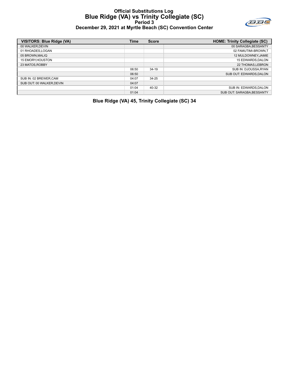#### **Official Substitutions Log Blue Ridge (VA) vs Trinity Collegiate (SC) Period 3 December 29, 2021 at Myrtle Beach (SC) Convention Center**



| VISITORS: Blue Ridge (VA) | Time  | <b>Score</b> | <b>HOME: Trinity Collegiate (SC)</b> |
|---------------------------|-------|--------------|--------------------------------------|
| 00 WALKER.DEVIN           |       |              | 00 SARAGBA, BESSANTY                 |
| 01 RHOADES,LOGAN          |       |              | 02 FAMUTIMI-BROWN.T                  |
| 05 BROWN.MALIQ            |       |              | 12 MULDOWNEY.JAMIE                   |
| <b>15 EMORY.HOUSTON</b>   |       |              | 15 EDWARDS.DALON                     |
| 23 MATOS, ROBBY           |       |              | 22 THOMAS.LEBRON                     |
|                           | 06:50 | $34-19$      | SUB IN: DJOUSSA, RYAN                |
|                           | 06:50 |              | SUB OUT: EDWARDS.DALON               |
| SUB IN: 02 BREWER,CAM     | 04:07 | $34 - 25$    |                                      |
| SUB OUT: 00 WALKER.DEVIN  | 04:07 |              |                                      |
|                           | 01:04 | 40-32        | SUB IN: EDWARDS, DALON               |
|                           | 01:04 |              | SUB OUT: SARAGBA.BESSANTY            |
|                           |       |              |                                      |

**Blue Ridge (VA) 45, Trinity Collegiate (SC) 34**